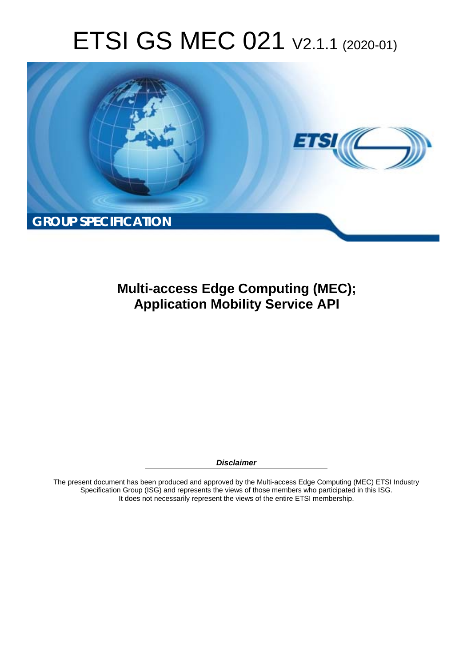# ETSI GS MEC 021 V2.1.1 (2020-01)



**Multi-access Edge Computing (MEC); Application Mobility Service API** 

*Disclaimer* 

The present document has been produced and approved by the Multi-access Edge Computing (MEC) ETSI Industry Specification Group (ISG) and represents the views of those members who participated in this ISG. It does not necessarily represent the views of the entire ETSI membership.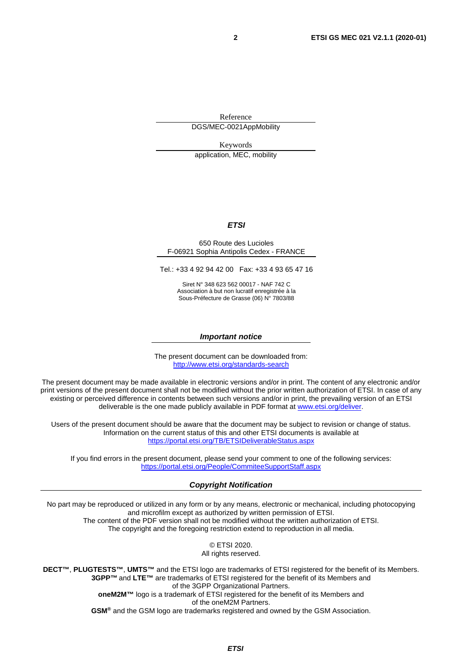Reference DGS/MEC-0021AppMobility

Keywords

application, MEC, mobility

#### *ETSI*

#### 650 Route des Lucioles F-06921 Sophia Antipolis Cedex - FRANCE

Tel.: +33 4 92 94 42 00 Fax: +33 4 93 65 47 16

Siret N° 348 623 562 00017 - NAF 742 C Association à but non lucratif enregistrée à la Sous-Préfecture de Grasse (06) N° 7803/88

#### *Important notice*

The present document can be downloaded from: <http://www.etsi.org/standards-search>

The present document may be made available in electronic versions and/or in print. The content of any electronic and/or print versions of the present document shall not be modified without the prior written authorization of ETSI. In case of any existing or perceived difference in contents between such versions and/or in print, the prevailing version of an ETSI deliverable is the one made publicly available in PDF format at [www.etsi.org/deliver](http://www.etsi.org/deliver).

Users of the present document should be aware that the document may be subject to revision or change of status. Information on the current status of this and other ETSI documents is available at <https://portal.etsi.org/TB/ETSIDeliverableStatus.aspx>

If you find errors in the present document, please send your comment to one of the following services: <https://portal.etsi.org/People/CommiteeSupportStaff.aspx>

#### *Copyright Notification*

No part may be reproduced or utilized in any form or by any means, electronic or mechanical, including photocopying and microfilm except as authorized by written permission of ETSI. The content of the PDF version shall not be modified without the written authorization of ETSI. The copyright and the foregoing restriction extend to reproduction in all media.

> © ETSI 2020. All rights reserved.

**DECT™**, **PLUGTESTS™**, **UMTS™** and the ETSI logo are trademarks of ETSI registered for the benefit of its Members. **3GPP™** and **LTE™** are trademarks of ETSI registered for the benefit of its Members and of the 3GPP Organizational Partners. **oneM2M™** logo is a trademark of ETSI registered for the benefit of its Members and of the oneM2M Partners. **GSM®** and the GSM logo are trademarks registered and owned by the GSM Association.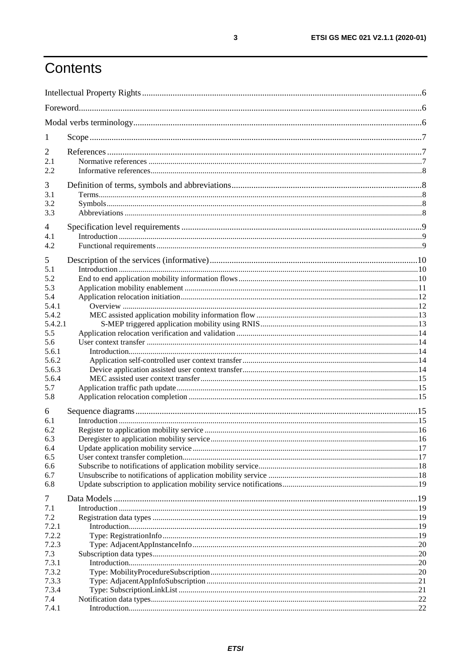# Contents

| 1              |  |  |  |
|----------------|--|--|--|
| 2              |  |  |  |
| 2.1<br>2.2     |  |  |  |
| 3              |  |  |  |
| 3.1            |  |  |  |
| 3.2<br>3.3     |  |  |  |
| 4              |  |  |  |
| 4.1            |  |  |  |
| 4.2            |  |  |  |
| 5              |  |  |  |
| 5.1            |  |  |  |
| 5.2            |  |  |  |
| 5.3            |  |  |  |
| 5.4<br>5.4.1   |  |  |  |
| 5.4.2          |  |  |  |
| 5.4.2.1        |  |  |  |
| 5.5            |  |  |  |
| 5.6            |  |  |  |
| 5.6.1          |  |  |  |
| 5.6.2          |  |  |  |
| 5.6.3          |  |  |  |
| 5.6.4          |  |  |  |
| 5.7<br>5.8     |  |  |  |
|                |  |  |  |
| 6              |  |  |  |
| 6.1            |  |  |  |
| 6.2            |  |  |  |
| 6.3<br>6.4     |  |  |  |
| 6.5            |  |  |  |
| 6.6            |  |  |  |
| 6.7            |  |  |  |
| 6.8            |  |  |  |
| 7              |  |  |  |
| 7.1            |  |  |  |
| 7.2            |  |  |  |
| 7.2.1          |  |  |  |
| 7.2.2          |  |  |  |
| 7.2.3          |  |  |  |
| 7.3            |  |  |  |
| 7.3.1<br>7.3.2 |  |  |  |
| 7.3.3          |  |  |  |
| 7.3.4          |  |  |  |
| 7.4            |  |  |  |
| 7.4.1          |  |  |  |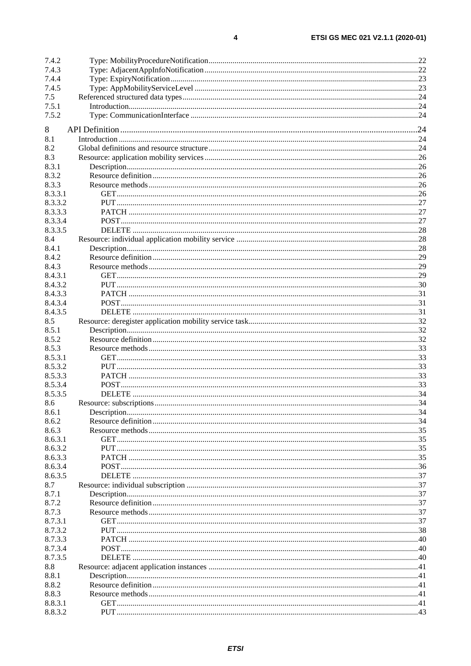| 7.4.2              |  |
|--------------------|--|
| 7.4.3              |  |
| 7.4.4              |  |
| 7.4.5              |  |
| 7.5                |  |
| 7.5.1              |  |
| 7.5.2              |  |
|                    |  |
| 8                  |  |
| 8.1                |  |
| 8.2                |  |
| 8.3                |  |
| 8.3.1              |  |
| 8.3.2              |  |
| 8.3.3              |  |
| 8.3.3.1            |  |
| 8.3.3.2            |  |
| 8.3.3.3            |  |
| 8.3.3.4            |  |
| 8.3.3.5            |  |
| 8.4                |  |
| 8.4.1              |  |
| 8.4.2              |  |
| 8.4.3              |  |
| 8.4.3.1            |  |
| 8.4.3.2            |  |
| 8.4.3.3            |  |
| 8.4.3.4            |  |
| 8.4.3.5            |  |
| 8.5                |  |
| 8.5.1              |  |
| 8.5.2              |  |
| 8.5.3              |  |
| 8.5.3.1            |  |
| 8.5.3.2            |  |
| 8.5.3.3            |  |
| 8.5.3.4            |  |
| 8.5.3.5            |  |
| 8.6                |  |
| 8.6.1              |  |
| 8.6.2              |  |
| 8.6.3              |  |
| 8.6.3.1            |  |
| 8.6.3.2            |  |
| 8.6.3.3            |  |
| 8.6.3.4<br>8.6.3.5 |  |
|                    |  |
| 8.7                |  |
| 8.7.1<br>8.7.2     |  |
| 8.7.3              |  |
|                    |  |
| 8.7.3.1<br>8.7.3.2 |  |
| 8.7.3.3            |  |
| 8.7.3.4            |  |
| 8.7.3.5            |  |
| 8.8                |  |
| 8.8.1              |  |
| 8.8.2              |  |
| 8.8.3              |  |
| 8.8.3.1            |  |
| 8.8.3.2            |  |
|                    |  |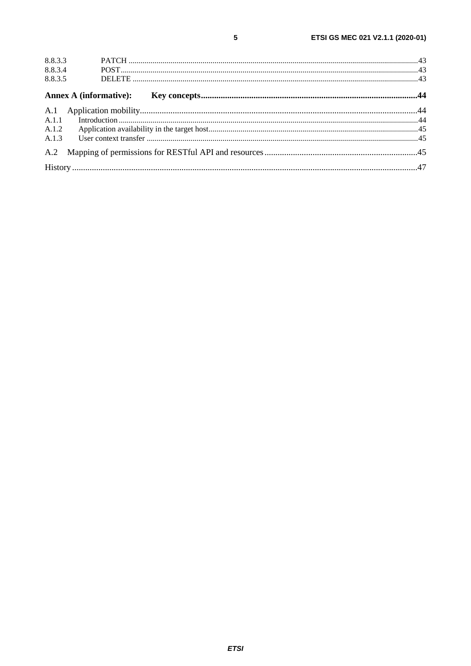| 8.8.3.3 |  |
|---------|--|
| 8.8.3.4 |  |
| 8.8.3.5 |  |
|         |  |
|         |  |
| A.1.1   |  |
| A.1.2   |  |
| A.1.3   |  |
|         |  |
|         |  |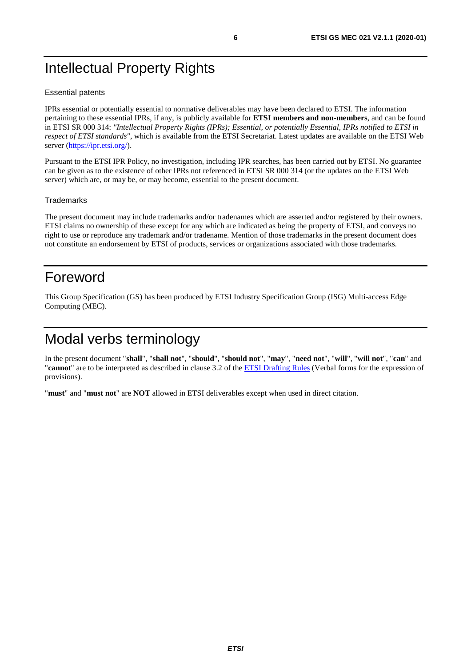# <span id="page-5-0"></span>Intellectual Property Rights

#### Essential patents

IPRs essential or potentially essential to normative deliverables may have been declared to ETSI. The information pertaining to these essential IPRs, if any, is publicly available for **ETSI members and non-members**, and can be found in ETSI SR 000 314: *"Intellectual Property Rights (IPRs); Essential, or potentially Essential, IPRs notified to ETSI in respect of ETSI standards"*, which is available from the ETSI Secretariat. Latest updates are available on the ETSI Web server (<https://ipr.etsi.org/>).

Pursuant to the ETSI IPR Policy, no investigation, including IPR searches, has been carried out by ETSI. No guarantee can be given as to the existence of other IPRs not referenced in ETSI SR 000 314 (or the updates on the ETSI Web server) which are, or may be, or may become, essential to the present document.

#### **Trademarks**

The present document may include trademarks and/or tradenames which are asserted and/or registered by their owners. ETSI claims no ownership of these except for any which are indicated as being the property of ETSI, and conveys no right to use or reproduce any trademark and/or tradename. Mention of those trademarks in the present document does not constitute an endorsement by ETSI of products, services or organizations associated with those trademarks.

# Foreword

This Group Specification (GS) has been produced by ETSI Industry Specification Group (ISG) Multi-access Edge Computing (MEC).

# Modal verbs terminology

In the present document "**shall**", "**shall not**", "**should**", "**should not**", "**may**", "**need not**", "**will**", "**will not**", "**can**" and "**cannot**" are to be interpreted as described in clause 3.2 of the [ETSI Drafting Rules](https://portal.etsi.org/Services/editHelp!/Howtostart/ETSIDraftingRules.aspx) (Verbal forms for the expression of provisions).

"**must**" and "**must not**" are **NOT** allowed in ETSI deliverables except when used in direct citation.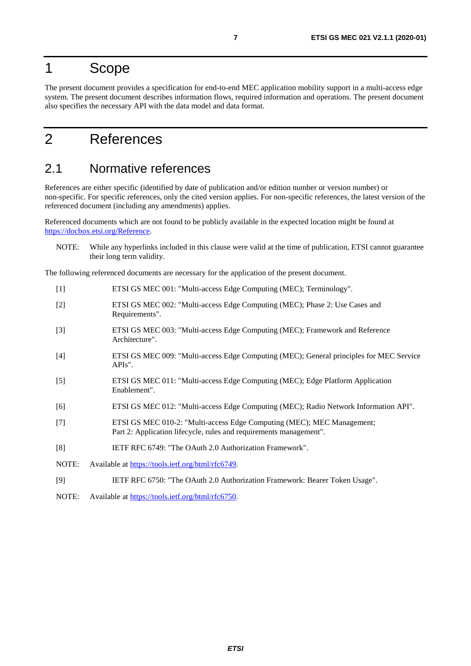# <span id="page-6-0"></span>1 Scope

The present document provides a specification for end-to-end MEC application mobility support in a multi-access edge system. The present document describes information flows, required information and operations. The present document also specifies the necessary API with the data model and data format.

# 2 References

# 2.1 Normative references

References are either specific (identified by date of publication and/or edition number or version number) or non-specific. For specific references, only the cited version applies. For non-specific references, the latest version of the referenced document (including any amendments) applies.

Referenced documents which are not found to be publicly available in the expected location might be found at [https://docbox.etsi.org/Reference](https://docbox.etsi.org/Reference/).

NOTE: While any hyperlinks included in this clause were valid at the time of publication, ETSI cannot guarantee their long term validity.

The following referenced documents are necessary for the application of the present document.

| $[1]$ | ETSI GS MEC 001: "Multi-access Edge Computing (MEC); Terminology".                                                                           |
|-------|----------------------------------------------------------------------------------------------------------------------------------------------|
| $[2]$ | ETSI GS MEC 002: "Multi-access Edge Computing (MEC); Phase 2: Use Cases and<br>Requirements".                                                |
| $[3]$ | ETSI GS MEC 003: "Multi-access Edge Computing (MEC); Framework and Reference<br>Architecture".                                               |
| $[4]$ | ETSI GS MEC 009: "Multi-access Edge Computing (MEC); General principles for MEC Service<br>$APIs$ ".                                         |
| $[5]$ | ETSI GS MEC 011: "Multi-access Edge Computing (MEC); Edge Platform Application<br>Enablement".                                               |
| [6]   | ETSI GS MEC 012: "Multi-access Edge Computing (MEC); Radio Network Information API".                                                         |
| $[7]$ | ETSI GS MEC 010-2: "Multi-access Edge Computing (MEC); MEC Management;<br>Part 2: Application lifecycle, rules and requirements management". |
| [8]   | IETF RFC 6749: "The OAuth 2.0 Authorization Framework".                                                                                      |
| NOTE: | Available at https://tools.ietf.org/html/rfc6749.                                                                                            |
| $[9]$ | IETF RFC 6750: "The OAuth 2.0 Authorization Framework: Bearer Token Usage".                                                                  |
| NOTE: | Available at https://tools.ietf.org/html/rfc6750.                                                                                            |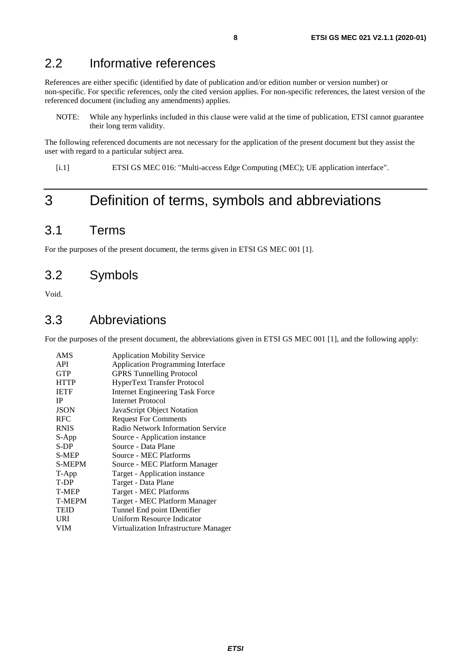# <span id="page-7-0"></span>2.2 Informative references

References are either specific (identified by date of publication and/or edition number or version number) or non-specific. For specific references, only the cited version applies. For non-specific references, the latest version of the referenced document (including any amendments) applies.

NOTE: While any hyperlinks included in this clause were valid at the time of publication, ETSI cannot guarantee their long term validity.

The following referenced documents are not necessary for the application of the present document but they assist the user with regard to a particular subject area.

[i.1] ETSI GS MEC 016: "Multi-access Edge Computing (MEC); UE application interface".

# 3 Definition of terms, symbols and abbreviations

### 3.1 Terms

For the purposes of the present document, the terms given in ETSI GS MEC 001 [\[1](#page-6-0)].

# 3.2 Symbols

Void.

# 3.3 Abbreviations

For the purposes of the present document, the abbreviations given in ETSI GS MEC 001 [\[1](#page-6-0)], and the following apply:

| AMS           | <b>Application Mobility Service</b>      |
|---------------|------------------------------------------|
| <b>API</b>    | <b>Application Programming Interface</b> |
| <b>GTP</b>    | <b>GPRS</b> Tunnelling Protocol          |
| <b>HTTP</b>   | <b>HyperText Transfer Protocol</b>       |
| <b>IETF</b>   | <b>Internet Engineering Task Force</b>   |
| <b>IP</b>     | Internet Protocol                        |
| <b>JSON</b>   | JavaScript Object Notation               |
| <b>RFC</b>    | <b>Request For Comments</b>              |
| <b>RNIS</b>   | Radio Network Information Service        |
| S-App         | Source - Application instance            |
| S-DP          | Source - Data Plane                      |
| <b>S-MEP</b>  | Source - MEC Platforms                   |
| S-MEPM        | Source - MEC Platform Manager            |
| T-App         | Target - Application instance            |
| T-DP          | Target - Data Plane                      |
| <b>T-MEP</b>  | <b>Target - MEC Platforms</b>            |
| <b>T-MEPM</b> | Target - MEC Platform Manager            |
| <b>TEID</b>   | Tunnel End point IDentifier              |
| URI           | Uniform Resource Indicator               |
| VIM           | Virtualization Infrastructure Manager    |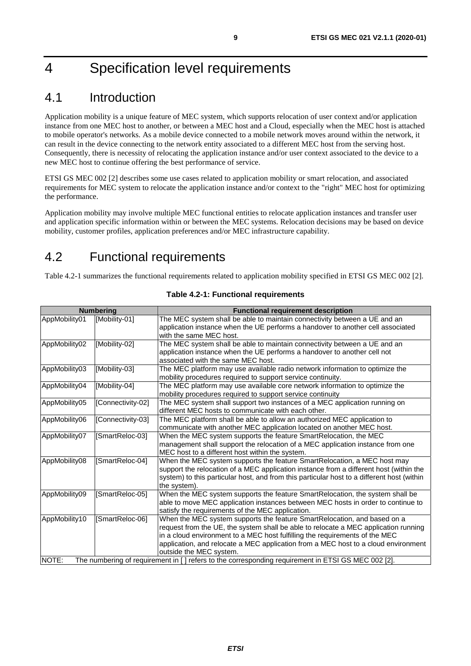# <span id="page-8-0"></span>4 Specification level requirements

# 4.1 Introduction

Application mobility is a unique feature of MEC system, which supports relocation of user context and/or application instance from one MEC host to another, or between a MEC host and a Cloud, especially when the MEC host is attached to mobile operator's networks. As a mobile device connected to a mobile network moves around within the network, it can result in the device connecting to the network entity associated to a different MEC host from the serving host. Consequently, there is necessity of relocating the application instance and/or user context associated to the device to a new MEC host to continue offering the best performance of service.

ETSI GS MEC 002 [\[2](#page-6-0)] describes some use cases related to application mobility or smart relocation, and associated requirements for MEC system to relocate the application instance and/or context to the "right" MEC host for optimizing the performance.

Application mobility may involve multiple MEC functional entities to relocate application instances and transfer user and application specific information within or between the MEC systems. Relocation decisions may be based on device mobility, customer profiles, application preferences and/or MEC infrastructure capability.

# 4.2 Functional requirements

Table 4.2-1 summarizes the functional requirements related to application mobility specified in ETSI GS MEC 002 [\[2](#page-6-0)].

|                        | <b>Numbering</b>  | <b>Functional requirement description</b>                                                                                                                                                                                                                                                                                                                                                                                                                             |  |  |  |
|------------------------|-------------------|-----------------------------------------------------------------------------------------------------------------------------------------------------------------------------------------------------------------------------------------------------------------------------------------------------------------------------------------------------------------------------------------------------------------------------------------------------------------------|--|--|--|
| AppMobility01          | [Mobility-01]     | The MEC system shall be able to maintain connectivity between a UE and an<br>application instance when the UE performs a handover to another cell associated<br>with the same MEC host.                                                                                                                                                                                                                                                                               |  |  |  |
| AppMobility02          | [Mobility-02]     | The MEC system shall be able to maintain connectivity between a UE and an<br>application instance when the UE performs a handover to another cell not<br>associated with the same MEC host.                                                                                                                                                                                                                                                                           |  |  |  |
| AppMobility03          | [Mobility-03]     | The MEC platform may use available radio network information to optimize the<br>mobility procedures required to support service continuity.                                                                                                                                                                                                                                                                                                                           |  |  |  |
| AppMobility04          | [Mobility-04]     | The MEC platform may use available core network information to optimize the<br>mobility procedures required to support service continuity                                                                                                                                                                                                                                                                                                                             |  |  |  |
| AppMobility05          | [Connectivity-02] | The MEC system shall support two instances of a MEC application running on<br>different MEC hosts to communicate with each other.                                                                                                                                                                                                                                                                                                                                     |  |  |  |
| AppMobility06          | [Connectivity-03] | The MEC platform shall be able to allow an authorized MEC application to<br>communicate with another MEC application located on another MEC host.                                                                                                                                                                                                                                                                                                                     |  |  |  |
| AppMobility07          | [SmartReloc-03]   | When the MEC system supports the feature SmartRelocation, the MEC<br>management shall support the relocation of a MEC application instance from one<br>MEC host to a different host within the system.                                                                                                                                                                                                                                                                |  |  |  |
| AppMobility08          | [SmartReloc-04]   | When the MEC system supports the feature SmartRelocation, a MEC host may<br>support the relocation of a MEC application instance from a different host (within the<br>system) to this particular host, and from this particular host to a different host (within<br>the system).                                                                                                                                                                                      |  |  |  |
| AppMobility09          | [SmartReloc-05]   | When the MEC system supports the feature SmartRelocation, the system shall be<br>able to move MEC application instances between MEC hosts in order to continue to<br>satisfy the requirements of the MEC application.                                                                                                                                                                                                                                                 |  |  |  |
| AppMobility10<br>NOTE: | [SmartReloc-06]   | When the MEC system supports the feature SmartRelocation, and based on a<br>request from the UE, the system shall be able to relocate a MEC application running<br>in a cloud environment to a MEC host fulfilling the requirements of the MEC<br>application, and relocate a MEC application from a MEC host to a cloud environment<br>outside the MEC system.<br>The numbering of requirement in [] refers to the corresponding requirement in ETSI GS MEC 002 [2]. |  |  |  |

#### **Table 4.2-1: Functional requirements**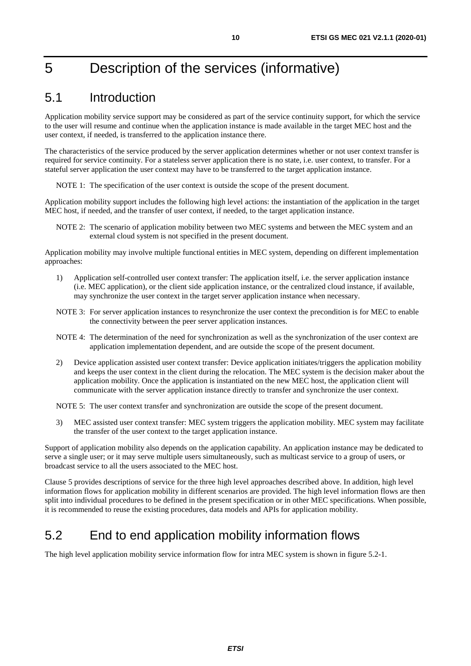# <span id="page-9-0"></span>5 Description of the services (informative)

# 5.1 Introduction

Application mobility service support may be considered as part of the service continuity support, for which the service to the user will resume and continue when the application instance is made available in the target MEC host and the user context, if needed, is transferred to the application instance there.

The characteristics of the service produced by the server application determines whether or not user context transfer is required for service continuity. For a stateless server application there is no state, i.e. user context, to transfer. For a stateful server application the user context may have to be transferred to the target application instance.

NOTE 1: The specification of the user context is outside the scope of the present document.

Application mobility support includes the following high level actions: the instantiation of the application in the target MEC host, if needed, and the transfer of user context, if needed, to the target application instance.

NOTE 2: The scenario of application mobility between two MEC systems and between the MEC system and an external cloud system is not specified in the present document.

Application mobility may involve multiple functional entities in MEC system, depending on different implementation approaches:

- 1) Application self-controlled user context transfer: The application itself, i.e. the server application instance (i.e. MEC application), or the client side application instance, or the centralized cloud instance, if available, may synchronize the user context in the target server application instance when necessary.
- NOTE 3: For server application instances to resynchronize the user context the precondition is for MEC to enable the connectivity between the peer server application instances.
- NOTE 4: The determination of the need for synchronization as well as the synchronization of the user context are application implementation dependent, and are outside the scope of the present document.
- 2) Device application assisted user context transfer: Device application initiates/triggers the application mobility and keeps the user context in the client during the relocation. The MEC system is the decision maker about the application mobility. Once the application is instantiated on the new MEC host, the application client will communicate with the server application instance directly to transfer and synchronize the user context.

NOTE 5: The user context transfer and synchronization are outside the scope of the present document.

3) MEC assisted user context transfer: MEC system triggers the application mobility. MEC system may facilitate the transfer of the user context to the target application instance.

Support of application mobility also depends on the application capability. An application instance may be dedicated to serve a single user; or it may serve multiple users simultaneously, such as multicast service to a group of users, or broadcast service to all the users associated to the MEC host.

Clause 5 provides descriptions of service for the three high level approaches described above. In addition, high level information flows for application mobility in different scenarios are provided. The high level information flows are then split into individual procedures to be defined in the present specification or in other MEC specifications. When possible, it is recommended to reuse the existing procedures, data models and APIs for application mobility.

# 5.2 End to end application mobility information flows

The high level application mobility service information flow for intra MEC system is shown in figure 5.2-1.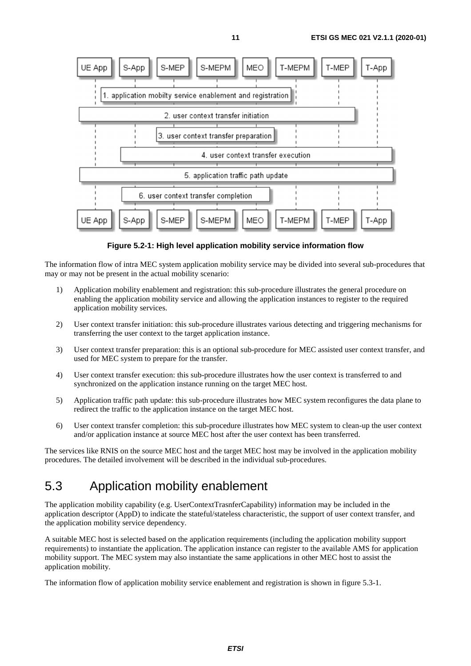<span id="page-10-0"></span>

**Figure 5.2-1: High level application mobility service information flow** 

The information flow of intra MEC system application mobility service may be divided into several sub-procedures that may or may not be present in the actual mobility scenario:

- 1) Application mobility enablement and registration: this sub-procedure illustrates the general procedure on enabling the application mobility service and allowing the application instances to register to the required application mobility services.
- 2) User context transfer initiation: this sub-procedure illustrates various detecting and triggering mechanisms for transferring the user context to the target application instance.
- 3) User context transfer preparation: this is an optional sub-procedure for MEC assisted user context transfer, and used for MEC system to prepare for the transfer.
- 4) User context transfer execution: this sub-procedure illustrates how the user context is transferred to and synchronized on the application instance running on the target MEC host.
- 5) Application traffic path update: this sub-procedure illustrates how MEC system reconfigures the data plane to redirect the traffic to the application instance on the target MEC host.
- 6) User context transfer completion: this sub-procedure illustrates how MEC system to clean-up the user context and/or application instance at source MEC host after the user context has been transferred.

The services like RNIS on the source MEC host and the target MEC host may be involved in the application mobility procedures. The detailed involvement will be described in the individual sub-procedures.

# 5.3 Application mobility enablement

The application mobility capability (e.g. UserContextTrasnferCapability) information may be included in the application descriptor (AppD) to indicate the stateful/stateless characteristic, the support of user context transfer, and the application mobility service dependency.

A suitable MEC host is selected based on the application requirements (including the application mobility support requirements) to instantiate the application. The application instance can register to the available AMS for application mobility support. The MEC system may also instantiate the same applications in other MEC host to assist the application mobility.

The information flow of application mobility service enablement and registration is shown in figure 5.3-1.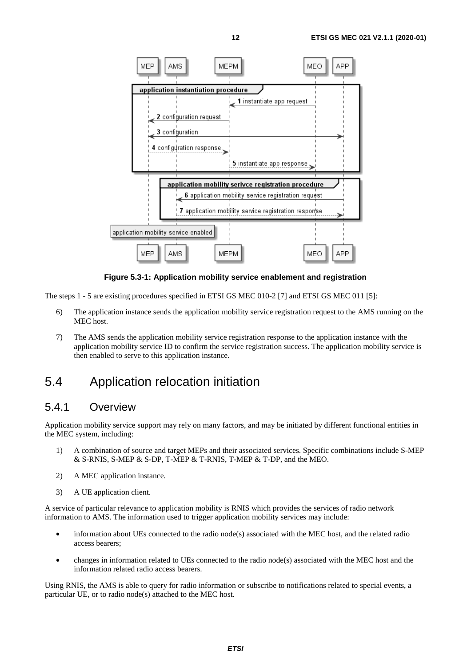<span id="page-11-0"></span>

**Figure 5.3-1: Application mobility service enablement and registration** 

The steps 1 - 5 are existing procedures specified in ETSI GS MEC 010-2 [[7](#page-6-0)] and ETSI GS MEC 011 [[5](#page-6-0)]:

- 6) The application instance sends the application mobility service registration request to the AMS running on the MEC host.
- 7) The AMS sends the application mobility service registration response to the application instance with the application mobility service ID to confirm the service registration success. The application mobility service is then enabled to serve to this application instance.

# 5.4 Application relocation initiation

### 5.4.1 Overview

Application mobility service support may rely on many factors, and may be initiated by different functional entities in the MEC system, including:

- 1) A combination of source and target MEPs and their associated services. Specific combinations include S-MEP & S-RNIS, S-MEP & S-DP, T-MEP & T-RNIS, T-MEP & T-DP, and the MEO.
- 2) A MEC application instance.
- 3) A UE application client.

A service of particular relevance to application mobility is RNIS which provides the services of radio network information to AMS. The information used to trigger application mobility services may include:

- information about UEs connected to the radio node(s) associated with the MEC host, and the related radio access bearers;
- changes in information related to UEs connected to the radio node(s) associated with the MEC host and the information related radio access bearers.

Using RNIS, the AMS is able to query for radio information or subscribe to notifications related to special events, a particular UE, or to radio node(s) attached to the MEC host.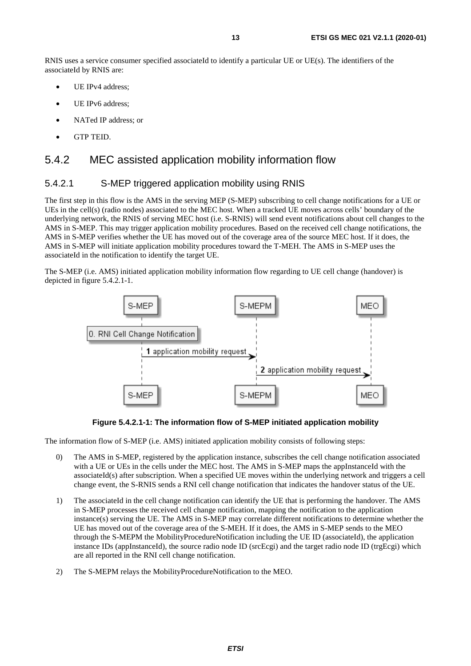<span id="page-12-0"></span>RNIS uses a service consumer specified associateId to identify a particular UE or UE(s). The identifiers of the associateId by RNIS are:

- UE IPv4 address:
- UE IPv6 address;
- NATed IP address: or
- GTP TEID.

### 5.4.2 MEC assisted application mobility information flow

#### 5.4.2.1 S-MEP triggered application mobility using RNIS

The first step in this flow is the AMS in the serving MEP (S-MEP) subscribing to cell change notifications for a UE or UEs in the cell(s) (radio nodes) associated to the MEC host. When a tracked UE moves across cells' boundary of the underlying network, the RNIS of serving MEC host (i.e. S-RNIS) will send event notifications about cell changes to the AMS in S-MEP. This may trigger application mobility procedures. Based on the received cell change notifications, the AMS in S-MEP verifies whether the UE has moved out of the coverage area of the source MEC host. If it does, the AMS in S-MEP will initiate application mobility procedures toward the T-MEH. The AMS in S-MEP uses the associateId in the notification to identify the target UE.

The S-MEP (i.e. AMS) initiated application mobility information flow regarding to UE cell change (handover) is depicted in figure 5.4.2.1-1.



**Figure 5.4.2.1-1: The information flow of S-MEP initiated application mobility** 

The information flow of S-MEP (i.e. AMS) initiated application mobility consists of following steps:

- 0) The AMS in S-MEP, registered by the application instance, subscribes the cell change notification associated with a UE or UEs in the cells under the MEC host. The AMS in S-MEP maps the appInstanceId with the associateId(s) after subscription. When a specified UE moves within the underlying network and triggers a cell change event, the S-RNIS sends a RNI cell change notification that indicates the handover status of the UE.
- 1) The associateId in the cell change notification can identify the UE that is performing the handover. The AMS in S-MEP processes the received cell change notification, mapping the notification to the application instance(s) serving the UE. The AMS in S-MEP may correlate different notifications to determine whether the UE has moved out of the coverage area of the S-MEH. If it does, the AMS in S-MEP sends to the MEO through the S-MEPM the MobilityProcedureNotification including the UE ID (associateId), the application instance IDs (appInstanceId), the source radio node ID (srcEcgi) and the target radio node ID (trgEcgi) which are all reported in the RNI cell change notification.
- 2) The S-MEPM relays the MobilityProcedureNotification to the MEO.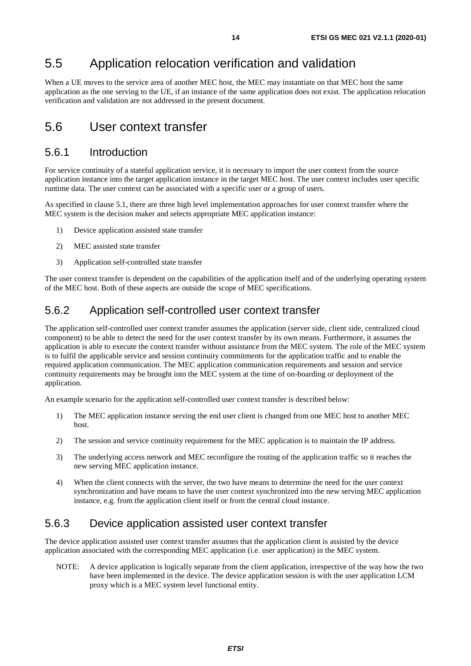# <span id="page-13-0"></span>5.5 Application relocation verification and validation

When a UE moves to the service area of another MEC host, the MEC may instantiate on that MEC host the same application as the one serving to the UE, if an instance of the same application does not exist. The application relocation verification and validation are not addressed in the present document.

# 5.6 User context transfer

### 5.6.1 Introduction

For service continuity of a stateful application service, it is necessary to import the user context from the source application instance into the target application instance in the target MEC host. The user context includes user specific runtime data. The user context can be associated with a specific user or a group of users.

As specified in clause 5.1, there are three high level implementation approaches for user context transfer where the MEC system is the decision maker and selects appropriate MEC application instance:

- 1) Device application assisted state transfer
- 2) MEC assisted state transfer
- 3) Application self-controlled state transfer

The user context transfer is dependent on the capabilities of the application itself and of the underlying operating system of the MEC host. Both of these aspects are outside the scope of MEC specifications.

## 5.6.2 Application self-controlled user context transfer

The application self-controlled user context transfer assumes the application (server side, client side, centralized cloud component) to be able to detect the need for the user context transfer by its own means. Furthermore, it assumes the application is able to execute the context transfer without assistance from the MEC system. The role of the MEC system is to fulfil the applicable service and session continuity commitments for the application traffic and to enable the required application communication. The MEC application communication requirements and session and service continuity requirements may be brought into the MEC system at the time of on-boarding or deployment of the application.

An example scenario for the application self-controlled user context transfer is described below:

- 1) The MEC application instance serving the end user client is changed from one MEC host to another MEC host.
- 2) The session and service continuity requirement for the MEC application is to maintain the IP address.
- 3) The underlying access network and MEC reconfigure the routing of the application traffic so it reaches the new serving MEC application instance.
- 4) When the client connects with the server, the two have means to determine the need for the user context synchronization and have means to have the user context synchronized into the new serving MEC application instance, e.g. from the application client itself or from the central cloud instance.

### 5.6.3 Device application assisted user context transfer

The device application assisted user context transfer assumes that the application client is assisted by the device application associated with the corresponding MEC application (i.e. user application) in the MEC system.

NOTE: A device application is logically separate from the client application, irrespective of the way how the two have been implemented in the device. The device application session is with the user application LCM proxy which is a MEC system level functional entity.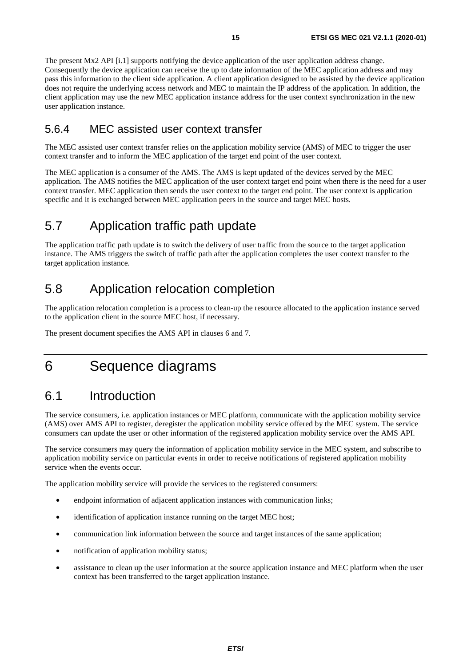<span id="page-14-0"></span>The present Mx2 API [\[i.1\]](#page-7-0) supports notifying the device application of the user application address change. Consequently the device application can receive the up to date information of the MEC application address and may pass this information to the client side application. A client application designed to be assisted by the device application does not require the underlying access network and MEC to maintain the IP address of the application. In addition, the client application may use the new MEC application instance address for the user context synchronization in the new user application instance.

### 5.6.4 MEC assisted user context transfer

The MEC assisted user context transfer relies on the application mobility service (AMS) of MEC to trigger the user context transfer and to inform the MEC application of the target end point of the user context.

The MEC application is a consumer of the AMS. The AMS is kept updated of the devices served by the MEC application. The AMS notifies the MEC application of the user context target end point when there is the need for a user context transfer. MEC application then sends the user context to the target end point. The user context is application specific and it is exchanged between MEC application peers in the source and target MEC hosts.

# 5.7 Application traffic path update

The application traffic path update is to switch the delivery of user traffic from the source to the target application instance. The AMS triggers the switch of traffic path after the application completes the user context transfer to the target application instance.

# 5.8 Application relocation completion

The application relocation completion is a process to clean-up the resource allocated to the application instance served to the application client in the source MEC host, if necessary.

The present document specifies the AMS API in clauses 6 and 7.

# 6 Sequence diagrams

# 6.1 Introduction

The service consumers, i.e. application instances or MEC platform, communicate with the application mobility service (AMS) over AMS API to register, deregister the application mobility service offered by the MEC system. The service consumers can update the user or other information of the registered application mobility service over the AMS API.

The service consumers may query the information of application mobility service in the MEC system, and subscribe to application mobility service on particular events in order to receive notifications of registered application mobility service when the events occur.

The application mobility service will provide the services to the registered consumers:

- endpoint information of adjacent application instances with communication links;
- identification of application instance running on the target MEC host:
- communication link information between the source and target instances of the same application;
- notification of application mobility status;
- assistance to clean up the user information at the source application instance and MEC platform when the user context has been transferred to the target application instance.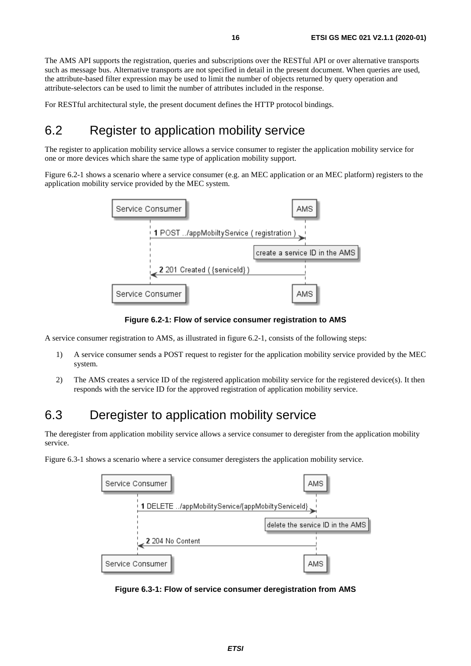<span id="page-15-0"></span>The AMS API supports the registration, queries and subscriptions over the RESTful API or over alternative transports such as message bus. Alternative transports are not specified in detail in the present document. When queries are used, the attribute-based filter expression may be used to limit the number of objects returned by query operation and attribute-selectors can be used to limit the number of attributes included in the response.

For RESTful architectural style, the present document defines the HTTP protocol bindings.

# 6.2 Register to application mobility service

The register to application mobility service allows a service consumer to register the application mobility service for one or more devices which share the same type of application mobility support.

Figure 6.2-1 shows a scenario where a service consumer (e.g. an MEC application or an MEC platform) registers to the application mobility service provided by the MEC system.



**Figure 6.2-1: Flow of service consumer registration to AMS**

A service consumer registration to AMS, as illustrated in figure 6.2-1, consists of the following steps:

- 1) A service consumer sends a POST request to register for the application mobility service provided by the MEC system.
- 2) The AMS creates a service ID of the registered application mobility service for the registered device(s). It then responds with the service ID for the approved registration of application mobility service.

# 6.3 Deregister to application mobility service

The deregister from application mobility service allows a service consumer to deregister from the application mobility service.

Figure 6.3-1 shows a scenario where a service consumer deregisters the application mobility service.



**Figure 6.3-1: Flow of service consumer deregistration from AMS**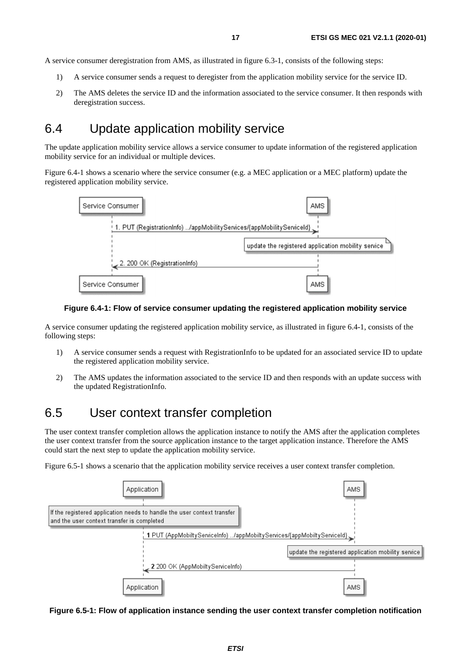<span id="page-16-0"></span>A service consumer deregistration from AMS, as illustrated in figure 6.3-1, consists of the following steps:

- 1) A service consumer sends a request to deregister from the application mobility service for the service ID.
- 2) The AMS deletes the service ID and the information associated to the service consumer. It then responds with deregistration success.

# 6.4 Update application mobility service

The update application mobility service allows a service consumer to update information of the registered application mobility service for an individual or multiple devices.

Figure 6.4-1 shows a scenario where the service consumer (e.g. a MEC application or a MEC platform) update the registered application mobility service.



**Figure 6.4-1: Flow of service consumer updating the registered application mobility service** 

A service consumer updating the registered application mobility service, as illustrated in figure 6.4-1, consists of the following steps:

- 1) A service consumer sends a request with RegistrationInfo to be updated for an associated service ID to update the registered application mobility service.
- 2) The AMS updates the information associated to the service ID and then responds with an update success with the updated RegistrationInfo.

## 6.5 User context transfer completion

The user context transfer completion allows the application instance to notify the AMS after the application completes the user context transfer from the source application instance to the target application instance. Therefore the AMS could start the next step to update the application mobility service.

Figure 6.5-1 shows a scenario that the application mobility service receives a user context transfer completion.



**Figure 6.5-1: Flow of application instance sending the user context transfer completion notification**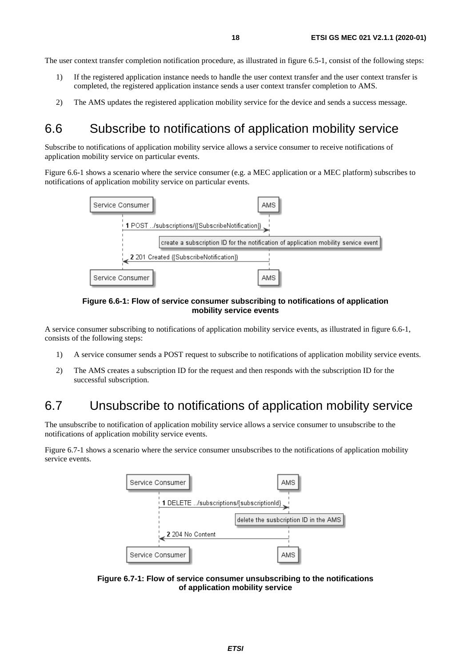<span id="page-17-0"></span>The user context transfer completion notification procedure, as illustrated in figure 6.5-1, consist of the following steps:

- 1) If the registered application instance needs to handle the user context transfer and the user context transfer is completed, the registered application instance sends a user context transfer completion to AMS.
- 2) The AMS updates the registered application mobility service for the device and sends a success message.

# 6.6 Subscribe to notifications of application mobility service

Subscribe to notifications of application mobility service allows a service consumer to receive notifications of application mobility service on particular events.

Figure 6.6-1 shows a scenario where the service consumer (e.g. a MEC application or a MEC platform) subscribes to notifications of application mobility service on particular events.



**Figure 6.6-1: Flow of service consumer subscribing to notifications of application mobility service events** 

A service consumer subscribing to notifications of application mobility service events, as illustrated in figure 6.6-1, consists of the following steps:

- 1) A service consumer sends a POST request to subscribe to notifications of application mobility service events.
- 2) The AMS creates a subscription ID for the request and then responds with the subscription ID for the successful subscription.

# 6.7 Unsubscribe to notifications of application mobility service

The unsubscribe to notification of application mobility service allows a service consumer to unsubscribe to the notifications of application mobility service events.

Figure 6.7-1 shows a scenario where the service consumer unsubscribes to the notifications of application mobility service events.



**Figure 6.7-1: Flow of service consumer unsubscribing to the notifications of application mobility service**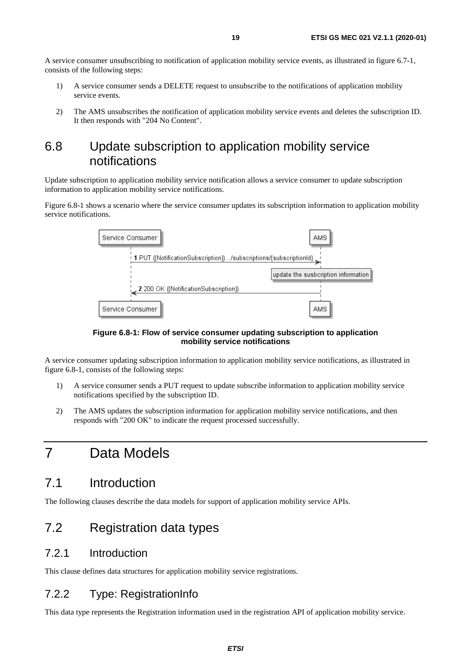<span id="page-18-0"></span>A service consumer unsubscribing to notification of application mobility service events, as illustrated in figure 6.7-1, consists of the following steps:

- 1) A service consumer sends a DELETE request to unsubscribe to the notifications of application mobility service events.
- 2) The AMS unsubscribes the notification of application mobility service events and deletes the subscription ID. It then responds with "204 No Content".

# 6.8 Update subscription to application mobility service notifications

Update subscription to application mobility service notification allows a service consumer to update subscription information to application mobility service notifications.

Figure 6.8-1 shows a scenario where the service consumer updates its subscription information to application mobility service notifications.

| Service Consumer                                                        | AMS                                 |
|-------------------------------------------------------------------------|-------------------------------------|
| ! 1 PUT ({NotificationSubscription}) /subscriptions/{subscriptionId} _! |                                     |
|                                                                         | update the susbcription information |
| _ 2 200 OK ({NotificationSubscription})                                 |                                     |
| Service Consumer                                                        | AMS                                 |

#### **Figure 6.8-1: Flow of service consumer updating subscription to application mobility service notifications**

A service consumer updating subscription information to application mobility service notifications, as illustrated in figure 6.8-1, consists of the following steps:

- 1) A service consumer sends a PUT request to update subscribe information to application mobility service notifications specified by the subscription ID.
- 2) The AMS updates the subscription information for application mobility service notifications, and then responds with "200 OK" to indicate the request processed successfully.

# 7 Data Models

# 7.1 Introduction

The following clauses describe the data models for support of application mobility service APIs.

# 7.2 Registration data types

### 7.2.1 Introduction

This clause defines data structures for application mobility service registrations.

# 7.2.2 Type: RegistrationInfo

This data type represents the Registration information used in the registration API of application mobility service.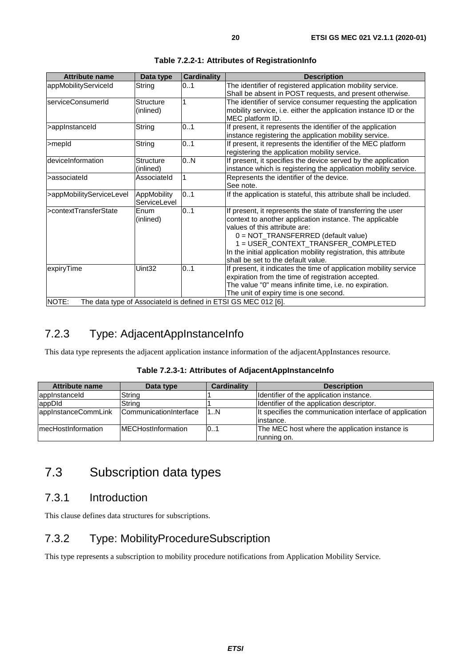<span id="page-19-0"></span>

| <b>Attribute name</b>    | Data type                     | <b>Cardinality</b> | <b>Description</b>                                                                                                                                                                                                                                                                                                                               |
|--------------------------|-------------------------------|--------------------|--------------------------------------------------------------------------------------------------------------------------------------------------------------------------------------------------------------------------------------------------------------------------------------------------------------------------------------------------|
| appMobilityServiceId     | String                        | 01                 | The identifier of registered application mobility service.<br>Shall be absent in POST requests, and present otherwise.                                                                                                                                                                                                                           |
| serviceConsumerId        | <b>Structure</b><br>(inlined) |                    | The identifier of service consumer requesting the application<br>mobility service, i.e. either the application instance ID or the<br>MEC platform ID.                                                                                                                                                                                            |
| >appInstanceId           | String                        | 01                 | If present, it represents the identifier of the application<br>instance registering the application mobility service.                                                                                                                                                                                                                            |
| >mepId                   | String                        | 0.1                | If present, it represents the identifier of the MEC platform<br>registering the application mobility service.                                                                                                                                                                                                                                    |
| <b>deviceInformation</b> | Structure<br>(inlined)        | 0N                 | If present, it specifies the device served by the application<br>instance which is registering the application mobility service.                                                                                                                                                                                                                 |
| >associateId             | Associateld                   | 1                  | Represents the identifier of the device.<br>See note.                                                                                                                                                                                                                                                                                            |
| >appMobilityServiceLevel | AppMobility<br>ServiceLevel   | 01                 | If the application is stateful, this attribute shall be included.                                                                                                                                                                                                                                                                                |
| >contextTransferState    | Enum<br>(inlined)             | 0.1                | If present, it represents the state of transferring the user<br>context to another application instance. The applicable<br>values of this attribute are:<br>0 = NOT_TRANSFERRED (default value)<br>1 = USER_CONTEXT_TRANSFER_COMPLETED<br>In the initial application mobility registration, this attribute<br>shall be set to the default value. |
| expiryTime<br>NOTE:      | Uint32                        | 0.1                | If present, it indicates the time of application mobility service<br>expiration from the time of registration accepted.<br>The value "0" means infinite time, i.e. no expiration.<br>The unit of expiry time is one second.<br>The data type of Associateld is defined in ETSI GS MEC 012 [6].                                                   |

**Table 7.2.2-1: Attributes of RegistrationInfo** 

# 7.2.3 Type: AdjacentAppInstanceInfo

This data type represents the adjacent application instance information of the adjacentAppInstances resource.

| <b>Attribute name</b> | Data type                  | Cardinality | <b>Description</b>                                      |
|-----------------------|----------------------------|-------------|---------------------------------------------------------|
| appInstanceId         | String                     |             | Identifier of the application instance.                 |
| appDld                | String                     |             | Identifier of the application descriptor.               |
| appInstanceCommLink   | CommunicationInterface     | 1N          | It specifies the communication interface of application |
|                       |                            |             | linstance.                                              |
| ImecHostInformation   | <b>IMECHostInformation</b> | 101         | The MEC host where the application instance is          |
|                       |                            |             | running on.                                             |

# 7.3 Subscription data types

## 7.3.1 Introduction

This clause defines data structures for subscriptions.

# 7.3.2 Type: MobilityProcedureSubscription

This type represents a subscription to mobility procedure notifications from Application Mobility Service.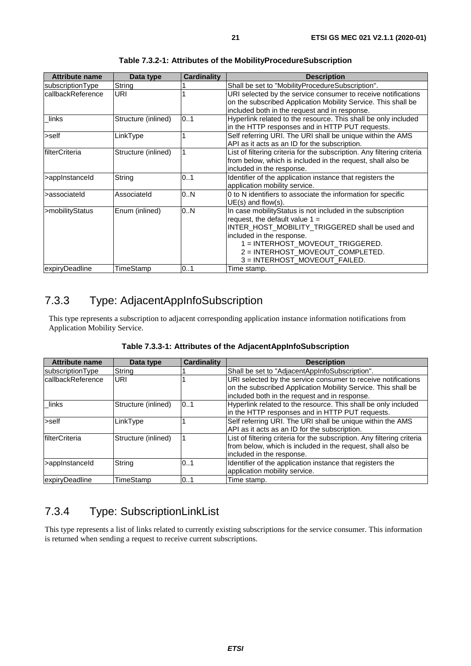<span id="page-20-0"></span>

| <b>Attribute name</b> | Data type           | <b>Cardinality</b> | <b>Description</b>                                                                                                                                                                                                                                                                      |
|-----------------------|---------------------|--------------------|-----------------------------------------------------------------------------------------------------------------------------------------------------------------------------------------------------------------------------------------------------------------------------------------|
| subscriptionType      | String              |                    | Shall be set to "MobilityProcedureSubscription".                                                                                                                                                                                                                                        |
| lcallbackReference    | URI                 |                    | URI selected by the service consumer to receive notifications<br>on the subscribed Application Mobility Service. This shall be                                                                                                                                                          |
| links                 | Structure (inlined) | 0.1                | included both in the request and in response.<br>Hyperlink related to the resource. This shall be only included                                                                                                                                                                         |
|                       |                     |                    | in the HTTP responses and in HTTP PUT requests.                                                                                                                                                                                                                                         |
| l>self                | LinkType            |                    | Self referring URI. The URI shall be unique within the AMS<br>API as it acts as an ID for the subscription.                                                                                                                                                                             |
| filterCriteria        | Structure (inlined) | 1                  | List of filtering criteria for the subscription. Any filtering criteria<br>from below, which is included in the request, shall also be<br>included in the response.                                                                                                                     |
| >appInstanceId        | String              | 0.1                | Identifier of the application instance that registers the<br>application mobility service.                                                                                                                                                                                              |
| l>associateId         | Associateld         | 0N                 | 0 to N identifiers to associate the information for specific<br>$UE(s)$ and flow(s).                                                                                                                                                                                                    |
| >mobilityStatus       | Enum (inlined)      | 0.N                | In case mobilityStatus is not included in the subscription<br>request, the default value $1 =$<br>INTER HOST MOBILITY TRIGGERED shall be used and<br>included in the response.<br>1 = INTERHOST_MOVEOUT_TRIGGERED.<br>2 = INTERHOST_MOVEOUT_COMPLETED.<br>3 = INTERHOST MOVEOUT FAILED. |
| expiryDeadline        | TimeStamp           | 0.1                | Time stamp.                                                                                                                                                                                                                                                                             |

**Table 7.3.2-1: Attributes of the MobilityProcedureSubscription** 

# 7.3.3 Type: AdjacentAppInfoSubscription

This type represents a subscription to adjacent corresponding application instance information notifications from Application Mobility Service.

| <b>Attribute name</b> | Data type           | <b>Cardinality</b> | <b>Description</b>                                                      |
|-----------------------|---------------------|--------------------|-------------------------------------------------------------------------|
| subscriptionType      | String              |                    | Shall be set to "AdjacentAppInfoSubscription".                          |
| callbackReference     | <b>URI</b>          |                    | URI selected by the service consumer to receive notifications           |
|                       |                     |                    | on the subscribed Application Mobility Service. This shall be           |
|                       |                     |                    | included both in the request and in response.                           |
| links                 | Structure (inlined) | 101                | Hyperlink related to the resource. This shall be only included          |
|                       |                     |                    | in the HTTP responses and in HTTP PUT requests.                         |
| >self                 | LinkType            |                    | Self referring URI. The URI shall be unique within the AMS              |
|                       |                     |                    | API as it acts as an ID for the subscription.                           |
| filterCriteria        | Structure (inlined) |                    | List of filtering criteria for the subscription. Any filtering criteria |
|                       |                     |                    | from below, which is included in the request, shall also be             |
|                       |                     |                    | included in the response.                                               |
| >applnstanceId        | String              | 0.1                | Identifier of the application instance that registers the               |
|                       |                     |                    | application mobility service.                                           |
| expiryDeadline        | TimeStamp           | 0.1                | Time stamp.                                                             |

# 7.3.4 Type: SubscriptionLinkList

This type represents a list of links related to currently existing subscriptions for the service consumer. This information is returned when sending a request to receive current subscriptions.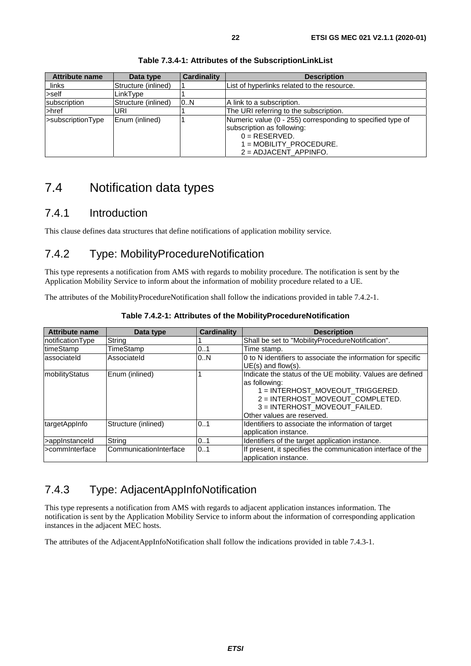<span id="page-21-0"></span>

| <b>Attribute name</b> | Data type           | <b>Cardinality</b> | <b>Description</b>                                                                                                                                                 |  |
|-----------------------|---------------------|--------------------|--------------------------------------------------------------------------------------------------------------------------------------------------------------------|--|
| links                 | Structure (inlined) |                    | List of hyperlinks related to the resource.                                                                                                                        |  |
| >self                 | LinkType            |                    |                                                                                                                                                                    |  |
| subscription          | Structure (inlined) | 0N                 | A link to a subscription.                                                                                                                                          |  |
| >href                 | URI                 |                    | The URI referring to the subscription.                                                                                                                             |  |
| >subscriptionType     | Enum (inlined)      |                    | Numeric value (0 - 255) corresponding to specified type of<br>subscription as following:<br>$0 = RESERVED$ .<br>1 = MOBILITY PROCEDURE.<br>$2 = ADJACENT$ APPINFO. |  |

**Table 7.3.4-1: Attributes of the SubscriptionLinkList** 

# 7.4 Notification data types

### 7.4.1 Introduction

This clause defines data structures that define notifications of application mobility service.

# 7.4.2 Type: MobilityProcedureNotification

This type represents a notification from AMS with regards to mobility procedure. The notification is sent by the Application Mobility Service to inform about the information of mobility procedure related to a UE.

The attributes of the MobilityProcedureNotification shall follow the indications provided in table 7.4.2-1.

| <b>Attribute name</b> | Data type               | <b>Cardinality</b> | <b>Description</b>                                                                                                                                                                                                 |
|-----------------------|-------------------------|--------------------|--------------------------------------------------------------------------------------------------------------------------------------------------------------------------------------------------------------------|
| notificationType      | String                  |                    | Shall be set to "MobilityProcedureNotification".                                                                                                                                                                   |
| timeStamp             | TimeStamp               | 101                | Time stamp.                                                                                                                                                                                                        |
| associateld           | Associateld             | 0.N                | 0 to N identifiers to associate the information for specific<br>$UE(s)$ and flow(s).                                                                                                                               |
| mobilityStatus        | Enum (inlined)          |                    | Indicate the status of the UE mobility. Values are defined<br>as following:<br>1 = INTERHOST MOVEOUT TRIGGERED.<br>2 = INTERHOST MOVEOUT COMPLETED.<br>3 = INTERHOST MOVEOUT FAILED.<br>Other values are reserved. |
| targetAppInfo         | Structure (inlined)     | 0.1                | Identifiers to associate the information of target<br>application instance.                                                                                                                                        |
| >applnstanceld        | String                  | 0.1                | Identifiers of the target application instance.                                                                                                                                                                    |
| scomminterface        | lCommunicationInterface | 101                | If present, it specifies the communication interface of the<br>application instance.                                                                                                                               |

**Table 7.4.2-1: Attributes of the MobilityProcedureNotification** 

# 7.4.3 Type: AdjacentAppInfoNotification

This type represents a notification from AMS with regards to adjacent application instances information. The notification is sent by the Application Mobility Service to inform about the information of corresponding application instances in the adjacent MEC hosts.

The attributes of the AdjacentAppInfoNotification shall follow the indications provided in table 7.4.3-1.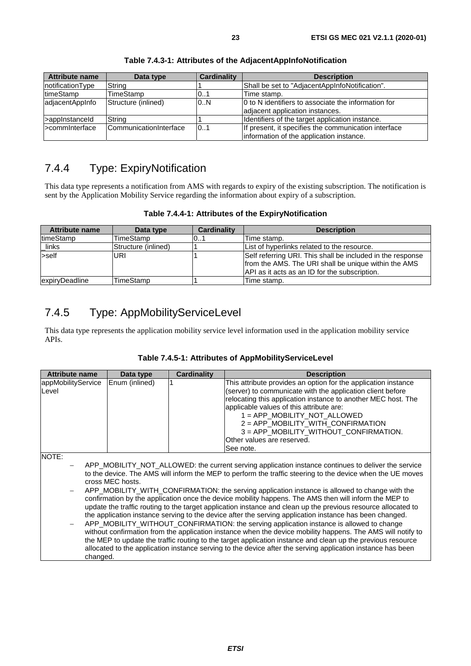<span id="page-22-0"></span>

| <b>Attribute name</b> | Data type              | <b>Cardinality</b> | <b>Description</b>                                   |
|-----------------------|------------------------|--------------------|------------------------------------------------------|
| notificationType      | String                 |                    | Shall be set to "AdjacentAppInfoNotification".       |
| timeStamp             | TimeStamp              | 01                 | Time stamp.                                          |
| adiacentAppInfo       | Structure (inlined)    | 0.N                | 10 to N identifiers to associate the information for |
|                       |                        |                    | adjacent application instances.                      |
| >applnstanceld        | String                 |                    | Identifiers of the target application instance.      |
| scomminterface        | CommunicationInterface | 10.1               | If present, it specifies the communication interface |
|                       |                        |                    | information of the application instance.             |

# 7.4.4 Type: ExpiryNotification

This data type represents a notification from AMS with regards to expiry of the existing subscription. The notification is sent by the Application Mobility Service regarding the information about expiry of a subscription.

| Table 7.4.4-1: Attributes of the ExpiryNotification |  |
|-----------------------------------------------------|--|
|-----------------------------------------------------|--|

| <b>Attribute name</b> | Data type           | <b>Cardinality</b> | <b>Description</b>                                                                                                                                                  |
|-----------------------|---------------------|--------------------|---------------------------------------------------------------------------------------------------------------------------------------------------------------------|
| timeStamp             | TimeStamp           | IO1                | Time stamp.                                                                                                                                                         |
| _links                | Structure (inlined) |                    | List of hyperlinks related to the resource.                                                                                                                         |
| $>$ self              | IURI                |                    | Self referring URI. This shall be included in the response<br>from the AMS. The URI shall be unique within the AMS<br>API as it acts as an ID for the subscription. |
| expirvDeadline        | TimeStamp           |                    | Time stamp.                                                                                                                                                         |

# 7.4.5 Type: AppMobilityServiceLevel

This data type represents the application mobility service level information used in the application mobility service APIs.

| <b>Attribute name</b>       | Data type                                                                                                                                                                                                                                                                                                                                                                                                                                                                                                                                                                                                                                                                                                                                                                                                                                                                                                                                                                                                                                                                                                             | <b>Cardinality</b>                                                                                                                                                                                                                                                                                                                                                                                   | <b>Description</b> |
|-----------------------------|-----------------------------------------------------------------------------------------------------------------------------------------------------------------------------------------------------------------------------------------------------------------------------------------------------------------------------------------------------------------------------------------------------------------------------------------------------------------------------------------------------------------------------------------------------------------------------------------------------------------------------------------------------------------------------------------------------------------------------------------------------------------------------------------------------------------------------------------------------------------------------------------------------------------------------------------------------------------------------------------------------------------------------------------------------------------------------------------------------------------------|------------------------------------------------------------------------------------------------------------------------------------------------------------------------------------------------------------------------------------------------------------------------------------------------------------------------------------------------------------------------------------------------------|--------------------|
| appMobilityService<br>Level | Enum (inlined)                                                                                                                                                                                                                                                                                                                                                                                                                                                                                                                                                                                                                                                                                                                                                                                                                                                                                                                                                                                                                                                                                                        | This attribute provides an option for the application instance<br>(server) to communicate with the application client before<br>relocating this application instance to another MEC host. The<br>applicable values of this attribute are:<br>1 = APP MOBILITY NOT ALLOWED<br>2 = APP_MOBILITY_WITH_CONFIRMATION<br>3 = APP_MOBILITY_WITHOUT_CONFIRMATION.<br>Other values are reserved.<br>See note. |                    |
| NOTE:<br>changed.           | APP_MOBILITY_NOT_ALLOWED: the current serving application instance continues to deliver the service<br>to the device. The AMS will inform the MEP to perform the traffic steering to the device when the UE moves<br>cross MEC hosts.<br>APP_MOBILITY_WITH_CONFIRMATION: the serving application instance is allowed to change with the<br>confirmation by the application once the device mobility happens. The AMS then will inform the MEP to<br>update the traffic routing to the target application instance and clean up the previous resource allocated to<br>the application instance serving to the device after the serving application instance has been changed.<br>APP_MOBILITY_WITHOUT_CONFIRMATION: the serving application instance is allowed to change<br>without confirmation from the application instance when the device mobility happens. The AMS will notify to<br>the MEP to update the traffic routing to the target application instance and clean up the previous resource<br>allocated to the application instance serving to the device after the serving application instance has been |                                                                                                                                                                                                                                                                                                                                                                                                      |                    |

**Table 7.4.5-1: Attributes of AppMobilityServiceLevel**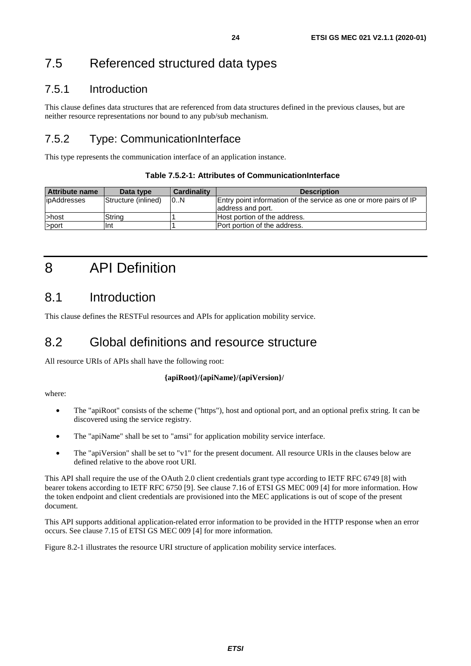# <span id="page-23-0"></span>7.5 Referenced structured data types

# 7.5.1 Introduction

This clause defines data structures that are referenced from data structures defined in the previous clauses, but are neither resource representations nor bound to any pub/sub mechanism.

# 7.5.2 Type: CommunicationInterface

This type represents the communication interface of an application instance.

#### **Table 7.5.2-1: Attributes of CommunicationInterface**

| <b>Attribute name</b> | Data type           | <b>Cardinality</b> | <b>Description</b>                                                |
|-----------------------|---------------------|--------------------|-------------------------------------------------------------------|
| lipAddresses          | Structure (inlined) | 10N                | Entry point information of the service as one or more pairs of IP |
|                       |                     |                    | laddress and port.                                                |
| l>host                | String              |                    | Host portion of the address.                                      |
| >port                 | llnt.               |                    | Port portion of the address.                                      |

# 8 API Definition

# 8.1 Introduction

This clause defines the RESTFul resources and APIs for application mobility service.

# 8.2 Global definitions and resource structure

All resource URIs of APIs shall have the following root:

#### **{apiRoot}/{apiName}/{apiVersion}/**

where:

- The "apiRoot" consists of the scheme ("https"), host and optional port, and an optional prefix string. It can be discovered using the service registry.
- The "apiName" shall be set to "amsi" for application mobility service interface.
- The "apiVersion" shall be set to "v1" for the present document. All resource URIs in the clauses below are defined relative to the above root URI.

This API shall require the use of the OAuth 2.0 client credentials grant type according to IETF RFC 6749 [\[8](#page-6-0)] with bearer tokens according to IETF RFC 6750 [[9\]](#page-6-0). See clause 7.16 of ETSI GS MEC 009 [\[4](#page-6-0)] for more information. How the token endpoint and client credentials are provisioned into the MEC applications is out of scope of the present document.

This API supports additional application-related error information to be provided in the HTTP response when an error occurs. See clause 7.15 of ETSI GS MEC 009 [[4\]](#page-6-0) for more information.

Figure 8.2-1 illustrates the resource URI structure of application mobility service interfaces.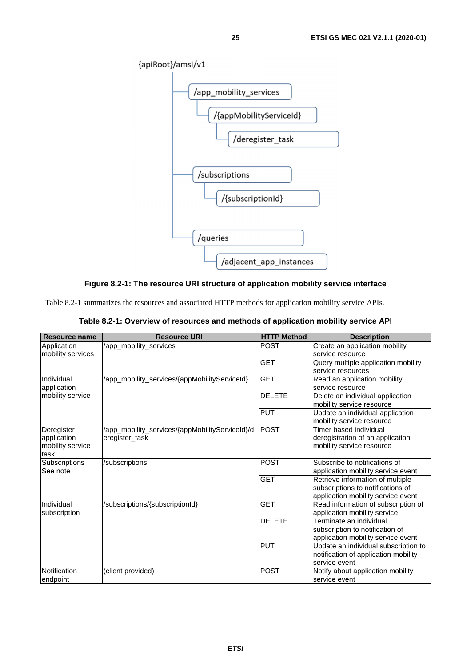

#### **Figure 8.2-1: The resource URI structure of application mobility service interface**

Table 8.2-1 summarizes the resources and associated HTTP methods for application mobility service APIs.

| Resource name     | <b>Resource URI</b>                             | <b>HTTP Method</b> | <b>Description</b>                   |
|-------------------|-------------------------------------------------|--------------------|--------------------------------------|
| Application       | /app_mobility_services                          | <b>POST</b>        | Create an application mobility       |
| mobility services |                                                 |                    | service resource                     |
|                   |                                                 | <b>GET</b>         | Query multiple application mobility  |
|                   |                                                 |                    | service resources                    |
| Individual        | /app_mobility_services/{appMobilityServiceId}   | <b>GET</b>         | Read an application mobility         |
| application       |                                                 |                    | service resource                     |
| mobility service  |                                                 | <b>DELETE</b>      | Delete an individual application     |
|                   |                                                 |                    | mobility service resource            |
|                   |                                                 | <b>PUT</b>         | Update an individual application     |
|                   |                                                 |                    | mobility service resource            |
| Deregister        | /app_mobility_services/{appMobilityServiceId}/d | <b>POST</b>        | Timer based individual               |
| application       | eregister task                                  |                    | deregistration of an application     |
| mobility service  |                                                 |                    | mobility service resource            |
| task              |                                                 |                    |                                      |
| Subscriptions     | /subscriptions                                  | <b>POST</b>        | Subscribe to notifications of        |
| See note          |                                                 |                    | application mobility service event   |
|                   |                                                 | <b>GET</b>         | Retrieve information of multiple     |
|                   |                                                 |                    | subscriptions to notifications of    |
|                   |                                                 |                    | application mobility service event   |
| Individual        | /subscriptions/{subscriptionId}                 | <b>GET</b>         | Read information of subscription of  |
| subscription      |                                                 |                    | application mobility service         |
|                   |                                                 | <b>DELETE</b>      | Terminate an individual              |
|                   |                                                 |                    | subscription to notification of      |
|                   |                                                 |                    | application mobility service event   |
|                   |                                                 | <b>PUT</b>         | Update an individual subscription to |
|                   |                                                 |                    | notification of application mobility |
|                   |                                                 |                    | service event                        |
| Notification      | (client provided)                               | <b>POST</b>        | Notify about application mobility    |
| endpoint          |                                                 |                    | service event                        |

| Table 8.2-1: Overview of resources and methods of application mobility service API |  |  |
|------------------------------------------------------------------------------------|--|--|
|                                                                                    |  |  |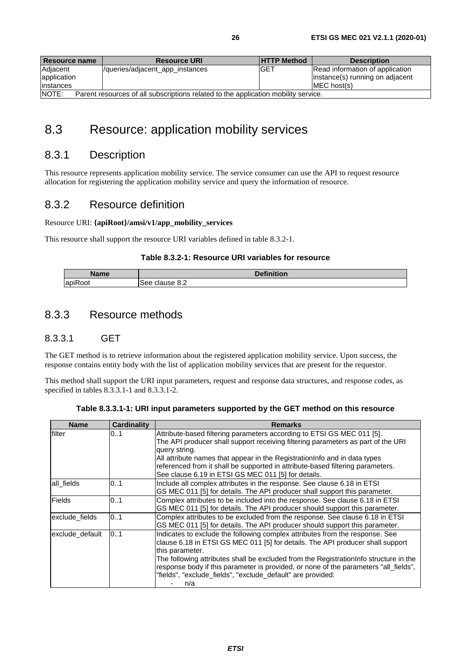# <span id="page-25-0"></span>8.3 Resource: application mobility services

# 8.3.1 Description

This resource represents application mobility service. The service consumer can use the API to request resource allocation for registering the application mobility service and query the information of resource.

### 8.3.2 Resource definition

#### Resource URI: **{apiRoot}/amsi/v1/app\_mobility\_services**

This resource shall support the resource URI variables defined in table 8.3.2-1.

#### **Table 8.3.2-1: Resource URI variables for resource**

| <b>Name</b>                     | <b>Definition</b><br>uor.          |
|---------------------------------|------------------------------------|
| $\cdot$ $-$<br>n<br>ιaν<br>งบบเ | ററ<br>See<br>use<br>сіят<br>$\cup$ |

### 8.3.3 Resource methods

#### 8.3.3.1 GET

The GET method is to retrieve information about the registered application mobility service. Upon success, the response contains entity body with the list of application mobility services that are present for the requestor.

This method shall support the URI input parameters, request and response data structures, and response codes, as specified in tables 8.3.3.1-1 and 8.3.3.1-2.

| <b>Name</b>     | <b>Cardinality</b> | <b>Remarks</b>                                                                                                                                                                                                                                                                                                                                                                                                                           |
|-----------------|--------------------|------------------------------------------------------------------------------------------------------------------------------------------------------------------------------------------------------------------------------------------------------------------------------------------------------------------------------------------------------------------------------------------------------------------------------------------|
| filter          | 01                 | Attribute-based filtering parameters according to ETSI GS MEC 011 [5].<br>The API producer shall support receiving filtering parameters as part of the URI<br>query string.<br>All attribute names that appear in the RegistrationInfo and in data types<br>referenced from it shall be supported in attribute-based filtering parameters.<br>See clause 6.19 in ETSI GS MEC 011 [5] for details.                                        |
| all fields      | 0.1                | Include all complex attributes in the response. See clause 6.18 in ETSI<br>GS MEC 011 [5] for details. The API producer shall support this parameter.                                                                                                                                                                                                                                                                                    |
| Fields          | 0.1                | Complex attributes to be included into the response. See clause 6.18 in ETSI<br>GS MEC 011 [5] for details. The API producer should support this parameter.                                                                                                                                                                                                                                                                              |
| exclude fields  | 0.1                | Complex attributes to be excluded from the response. See clause 6.18 in ETSI<br>GS MEC 011 [5] for details. The API producer should support this parameter.                                                                                                                                                                                                                                                                              |
| exclude default | 0.1                | Indicates to exclude the following complex attributes from the response. See<br>clause 6.18 in ETSI GS MEC 011 [5] for details. The API producer shall support<br>this parameter.<br>The following attributes shall be excluded from the Registration nfo structure in the<br>response body if this parameter is provided, or none of the parameters "all_fields",<br>"fields", "exclude_fields", "exclude_default" are provided:<br>n/a |

**Table 8.3.3.1-1: URI input parameters supported by the GET method on this resource**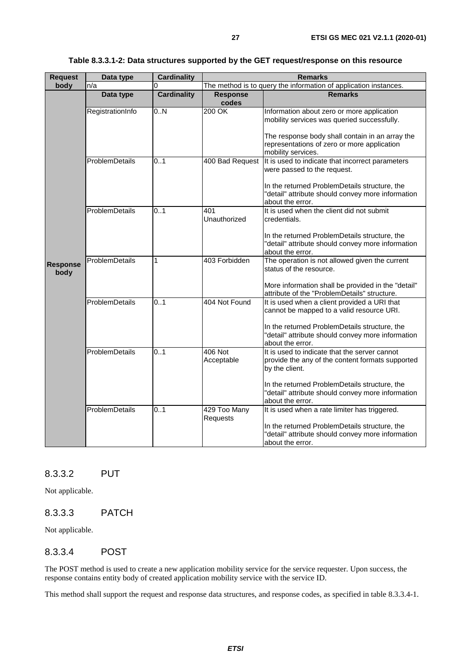<span id="page-26-0"></span>

| <b>Request</b>          | Data type             | <b>Cardinality</b> | <b>Remarks</b>           |                                                                                                                                                                                             |  |  |
|-------------------------|-----------------------|--------------------|--------------------------|---------------------------------------------------------------------------------------------------------------------------------------------------------------------------------------------|--|--|
| body                    | n/a                   | 0                  |                          | The method is to query the information of application instances.                                                                                                                            |  |  |
|                         | Data type             | <b>Cardinality</b> | <b>Response</b><br>codes | <b>Remarks</b>                                                                                                                                                                              |  |  |
|                         | RegistrationInfo      | 0.N                | 200 OK                   | Information about zero or more application<br>mobility services was queried successfully.<br>The response body shall contain in an array the<br>representations of zero or more application |  |  |
|                         |                       |                    |                          | mobility services.                                                                                                                                                                          |  |  |
|                         | ProblemDetails        | 0.1                | 400 Bad Request          | It is used to indicate that incorrect parameters<br>were passed to the request.<br>In the returned ProblemDetails structure, the<br>"detail" attribute should convey more information       |  |  |
|                         |                       |                    |                          | about the error.                                                                                                                                                                            |  |  |
|                         | ProblemDetails        | 0.1                | 401<br>Unauthorized      | It is used when the client did not submit<br>credentials.                                                                                                                                   |  |  |
|                         |                       |                    |                          | In the returned ProblemDetails structure, the<br>"detail" attribute should convey more information<br>about the error.                                                                      |  |  |
| <b>Response</b><br>body | ProblemDetails        | 1                  | 403 Forbidden            | The operation is not allowed given the current<br>status of the resource.                                                                                                                   |  |  |
|                         |                       |                    |                          | More information shall be provided in the "detail"<br>attribute of the "ProblemDetails" structure.                                                                                          |  |  |
|                         | ProblemDetails        | 0.1                | 404 Not Found            | It is used when a client provided a URI that<br>cannot be mapped to a valid resource URI.                                                                                                   |  |  |
|                         |                       |                    |                          | In the returned ProblemDetails structure, the<br>"detail" attribute should convey more information<br>about the error.                                                                      |  |  |
|                         | <b>ProblemDetails</b> | 0.1                | 406 Not<br>Acceptable    | It is used to indicate that the server cannot<br>provide the any of the content formats supported<br>by the client.                                                                         |  |  |
|                         |                       |                    |                          | In the returned ProblemDetails structure, the<br>"detail" attribute should convey more information<br>about the error.                                                                      |  |  |
|                         | <b>ProblemDetails</b> | 0.1                | 429 Too Many<br>Requests | It is used when a rate limiter has triggered.                                                                                                                                               |  |  |
|                         |                       |                    |                          | In the returned ProblemDetails structure, the<br>"detail" attribute should convey more information<br>about the error.                                                                      |  |  |

#### **Table 8.3.3.1-2: Data structures supported by the GET request/response on this resource**

#### 8.3.3.2 PUT

Not applicable.

#### 8.3.3.3 PATCH

Not applicable.

#### 8.3.3.4 POST

The POST method is used to create a new application mobility service for the service requester. Upon success, the response contains entity body of created application mobility service with the service ID.

This method shall support the request and response data structures, and response codes, as specified in table 8.3.3.4-1.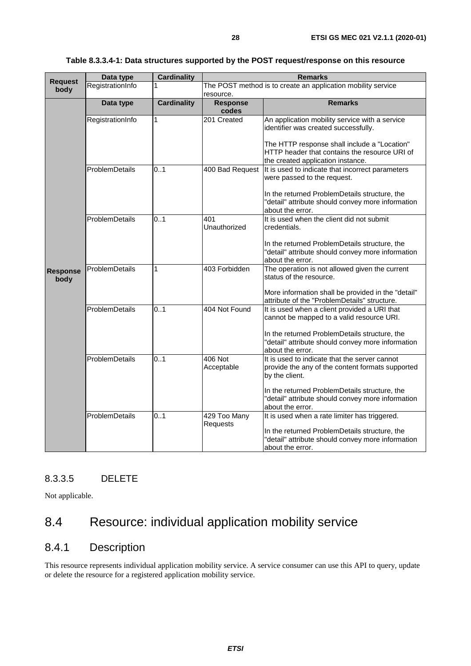<span id="page-27-0"></span>

| <b>Request</b>          | Data type             | <b>Cardinality</b> |                          | <b>Remarks</b>                                                                                                                     |
|-------------------------|-----------------------|--------------------|--------------------------|------------------------------------------------------------------------------------------------------------------------------------|
| body                    | RegistrationInfo      |                    |                          | The POST method is to create an application mobility service                                                                       |
|                         |                       |                    | resource.                |                                                                                                                                    |
|                         | Data type             | <b>Cardinality</b> | <b>Response</b><br>codes | <b>Remarks</b>                                                                                                                     |
|                         | RegistrationInfo      | 1                  | 201 Created              | An application mobility service with a service                                                                                     |
|                         |                       |                    |                          | identifier was created successfully.                                                                                               |
|                         |                       |                    |                          | The HTTP response shall include a "Location"<br>HTTP header that contains the resource URI of<br>the created application instance. |
|                         | ProblemDetails        | 0.1                | 400 Bad Request          | It is used to indicate that incorrect parameters<br>were passed to the request.                                                    |
|                         |                       |                    |                          | In the returned ProblemDetails structure, the<br>"detail" attribute should convey more information<br>about the error.             |
|                         | ProblemDetails        | 0.1                | 401<br>Unauthorized      | It is used when the client did not submit<br>credentials.                                                                          |
|                         |                       |                    |                          | In the returned ProblemDetails structure, the<br>"detail" attribute should convey more information<br>about the error.             |
| <b>Response</b><br>body | ProblemDetails        | 1                  | 403 Forbidden            | The operation is not allowed given the current<br>status of the resource.                                                          |
|                         |                       |                    |                          | More information shall be provided in the "detail"<br>attribute of the "ProblemDetails" structure.                                 |
|                         | ProblemDetails        | 0.1                | 404 Not Found            | It is used when a client provided a URI that<br>cannot be mapped to a valid resource URI.                                          |
|                         |                       |                    |                          | In the returned ProblemDetails structure, the<br>"detail" attribute should convey more information<br>about the error.             |
|                         | <b>ProblemDetails</b> | 0.1                | 406 Not<br>Acceptable    | It is used to indicate that the server cannot<br>provide the any of the content formats supported<br>by the client.                |
|                         |                       |                    |                          | In the returned ProblemDetails structure, the<br>"detail" attribute should convey more information<br>about the error.             |
|                         | ProblemDetails        | 0.1                | 429 Too Many             | It is used when a rate limiter has triggered.                                                                                      |
|                         |                       |                    | Requests                 | In the returned ProblemDetails structure, the<br>"detail" attribute should convey more information<br>about the error.             |

#### **Table 8.3.3.4-1: Data structures supported by the POST request/response on this resource**

#### 8.3.3.5 DELETE

Not applicable.

# 8.4 Resource: individual application mobility service

# 8.4.1 Description

This resource represents individual application mobility service. A service consumer can use this API to query, update or delete the resource for a registered application mobility service.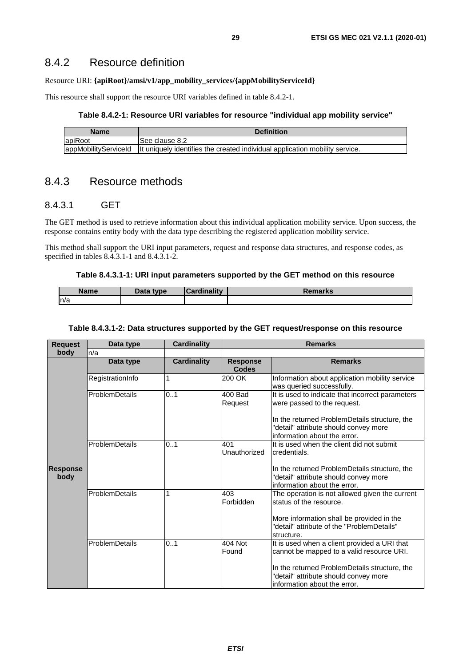<span id="page-28-0"></span>Resource URI: **{apiRoot}/amsi/v1/app\_mobility\_services/{appMobilityServiceId}** 

This resource shall support the resource URI variables defined in table 8.4.2-1.

#### **Table 8.4.2-1: Resource URI variables for resource "individual app mobility service"**

| <b>Name</b>          | <b>Definition</b>                                                           |
|----------------------|-----------------------------------------------------------------------------|
| apiRoot              | lSee clause 8.2                                                             |
| appMobilityServiceId | It uniquely identifies the created individual application mobility service. |

### 8.4.3 Resource methods

#### 8.4.3.1 GET

The GET method is used to retrieve information about this individual application mobility service. Upon success, the response contains entity body with the data type describing the registered application mobility service.

This method shall support the URI input parameters, request and response data structures, and response codes, as specified in tables  $8.\overline{4}.\overline{3}.\overline{1}$ -1 and  $8.\overline{4}.\overline{3}.\overline{1}$ -2.

#### **Table 8.4.3.1-1: URI input parameters supported by the GET method on this resource**

| <b>Jame</b> | Data type | Cardinality | narks |
|-------------|-----------|-------------|-------|
| n/a         |           |             |       |

#### **Table 8.4.3.1-2: Data structures supported by the GET request/response on this resource**

| <b>Request</b>          | Data type        | <b>Cardinality</b> |                                 | <b>Remarks</b>                                                                                                         |
|-------------------------|------------------|--------------------|---------------------------------|------------------------------------------------------------------------------------------------------------------------|
| body                    | ln/a             |                    |                                 |                                                                                                                        |
|                         | Data type        | <b>Cardinality</b> | <b>Response</b><br><b>Codes</b> | <b>Remarks</b>                                                                                                         |
|                         | RegistrationInfo |                    | 200 OK                          | Information about application mobility service<br>was queried successfully.                                            |
|                         | ProblemDetails   | 0.1                | 400 Bad<br>Request              | It is used to indicate that incorrect parameters<br>were passed to the request.                                        |
|                         |                  |                    |                                 | In the returned ProblemDetails structure, the<br>"detail" attribute should convey more<br>information about the error. |
|                         | ProblemDetails   | 0.1                | 401<br>Unauthorized             | It is used when the client did not submit<br>credentials.                                                              |
| <b>Response</b><br>body |                  |                    |                                 | In the returned ProblemDetails structure, the<br>"detail" attribute should convey more<br>information about the error. |
|                         | ProblemDetails   |                    | 403<br>Forbidden                | The operation is not allowed given the current<br>status of the resource.                                              |
|                         |                  |                    |                                 | More information shall be provided in the<br>"detail" attribute of the "ProblemDetails"<br>structure.                  |
|                         | ProblemDetails   | 0.1                | 404 Not<br>Found                | It is used when a client provided a URI that<br>cannot be mapped to a valid resource URI.                              |
|                         |                  |                    |                                 | In the returned ProblemDetails structure, the<br>"detail" attribute should convey more<br>information about the error. |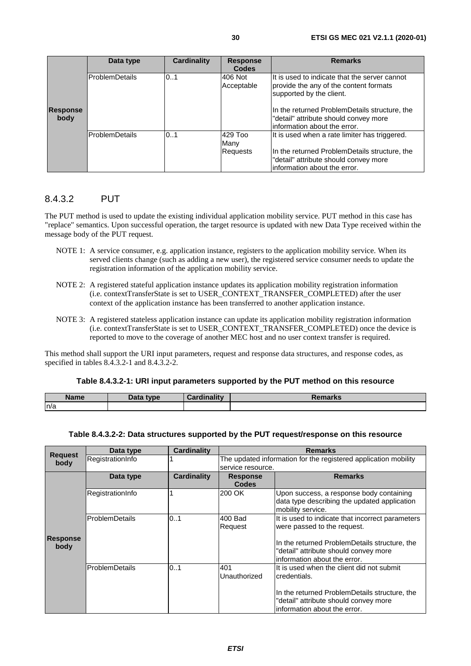<span id="page-29-0"></span>

|                 | Data type       | Cardinality | <b>Response</b><br>Codes | <b>Remarks</b>                                                                                                                                                       |
|-----------------|-----------------|-------------|--------------------------|----------------------------------------------------------------------------------------------------------------------------------------------------------------------|
| <b>Response</b> | ProblemDetails  | 0.1         | 406 Not<br>Acceptable    | It is used to indicate that the server cannot<br>provide the any of the content formats<br>supported by the client.<br>In the returned ProblemDetails structure, the |
| body            |                 |             |                          | "detail" attribute should convey more<br>information about the error.                                                                                                |
|                 | lProblemDetails | 0.1         | 429 Too<br>Many          | It is used when a rate limiter has triggered.                                                                                                                        |
|                 |                 |             | Requests                 | In the returned ProblemDetails structure, the<br>"detail" attribute should convey more<br>information about the error.                                               |

#### 8.4.3.2 PUT

The PUT method is used to update the existing individual application mobility service. PUT method in this case has "replace" semantics. Upon successful operation, the target resource is updated with new Data Type received within the message body of the PUT request.

- NOTE 1: A service consumer, e.g. application instance, registers to the application mobility service. When its served clients change (such as adding a new user), the registered service consumer needs to update the registration information of the application mobility service.
- NOTE 2: A registered stateful application instance updates its application mobility registration information (i.e. contextTransferState is set to USER\_CONTEXT\_TRANSFER\_COMPLETED) after the user context of the application instance has been transferred to another application instance.
- NOTE 3: A registered stateless application instance can update its application mobility registration information (i.e. contextTransferState is set to USER\_CONTEXT\_TRANSFER\_COMPLETED) once the device is reported to move to the coverage of another MEC host and no user context transfer is required.

This method shall support the URI input parameters, request and response data structures, and response codes, as specified in tables 8.4.3.2-1 and 8.4.3.2-2.

| Table 8.4.3.2-1: URI input parameters supported by the PUT method on this resource |  |  |  |
|------------------------------------------------------------------------------------|--|--|--|
|------------------------------------------------------------------------------------|--|--|--|

| <b>Name</b> | Data type | <b>Cardinality</b> | Remarks |
|-------------|-----------|--------------------|---------|
| n/a         |           |                    |         |

#### **Table 8.4.3.2-2: Data structures supported by the PUT request/response on this resource**

| <b>Request</b> | Data type        | Cardinality        | <b>Remarks</b>    |                                                                   |  |
|----------------|------------------|--------------------|-------------------|-------------------------------------------------------------------|--|
| body           | RegistrationInfo |                    |                   | The updated information for the registered application mobility   |  |
|                |                  |                    | service resource. |                                                                   |  |
|                | Data type        | <b>Cardinality</b> | <b>Response</b>   | <b>Remarks</b>                                                    |  |
|                |                  |                    | <b>Codes</b>      |                                                                   |  |
|                | RegistrationInfo |                    | 200 OK            | Upon success, a response body containing                          |  |
|                |                  |                    |                   | data type describing the updated application<br>mobility service. |  |
|                | lProblemDetails  | 0.1                | 400 Bad           | It is used to indicate that incorrect parameters                  |  |
|                |                  |                    | Request           | were passed to the request.                                       |  |
| Response       |                  |                    |                   |                                                                   |  |
| body           |                  |                    |                   | In the returned ProblemDetails structure, the                     |  |
|                |                  |                    |                   | "detail" attribute should convey more                             |  |
|                |                  |                    |                   | linformation about the error.                                     |  |
|                | lProblemDetails  | 0.1                | 401               | It is used when the client did not submit                         |  |
|                |                  |                    | Unauthorized      | credentials.                                                      |  |
|                |                  |                    |                   | In the returned ProblemDetails structure, the                     |  |
|                |                  |                    |                   | "detail" attribute should convey more                             |  |
|                |                  |                    |                   | information about the error.                                      |  |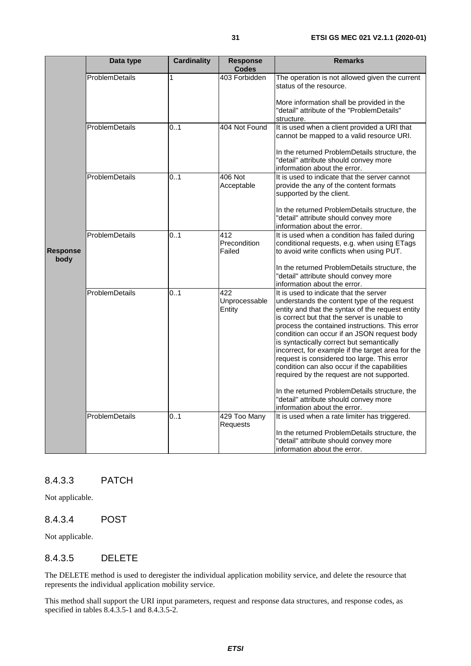<span id="page-30-0"></span>

|                         | Data type             | <b>Cardinality</b> | <b>Response</b><br><b>Codes</b> | <b>Remarks</b>                                                                                                                                                                                                                                                                                                                                                                                                                                                                                                                                                                                                                     |
|-------------------------|-----------------------|--------------------|---------------------------------|------------------------------------------------------------------------------------------------------------------------------------------------------------------------------------------------------------------------------------------------------------------------------------------------------------------------------------------------------------------------------------------------------------------------------------------------------------------------------------------------------------------------------------------------------------------------------------------------------------------------------------|
|                         | <b>ProblemDetails</b> | 1                  | 403 Forbidden                   | The operation is not allowed given the current<br>status of the resource.                                                                                                                                                                                                                                                                                                                                                                                                                                                                                                                                                          |
|                         |                       |                    |                                 | More information shall be provided in the<br>"detail" attribute of the "ProblemDetails"<br>structure.                                                                                                                                                                                                                                                                                                                                                                                                                                                                                                                              |
|                         | <b>ProblemDetails</b> | 0.1                | 404 Not Found                   | It is used when a client provided a URI that<br>cannot be mapped to a valid resource URI.                                                                                                                                                                                                                                                                                                                                                                                                                                                                                                                                          |
|                         |                       |                    |                                 | In the returned ProblemDetails structure, the<br>"detail" attribute should convey more<br>information about the error.                                                                                                                                                                                                                                                                                                                                                                                                                                                                                                             |
|                         | <b>ProblemDetails</b> | 0.1                | 406 Not<br>Acceptable           | It is used to indicate that the server cannot<br>provide the any of the content formats<br>supported by the client.                                                                                                                                                                                                                                                                                                                                                                                                                                                                                                                |
|                         |                       |                    |                                 | In the returned ProblemDetails structure, the<br>"detail" attribute should convey more<br>information about the error.                                                                                                                                                                                                                                                                                                                                                                                                                                                                                                             |
| <b>Response</b><br>body | <b>ProblemDetails</b> | 01                 | 412<br>Precondition<br>Failed   | It is used when a condition has failed during<br>conditional requests, e.g. when using ETags<br>to avoid write conflicts when using PUT.                                                                                                                                                                                                                                                                                                                                                                                                                                                                                           |
|                         |                       |                    |                                 | In the returned ProblemDetails structure, the<br>"detail" attribute should convey more<br>information about the error.                                                                                                                                                                                                                                                                                                                                                                                                                                                                                                             |
|                         | ProblemDetails        | 0.1                | 422<br>Unprocessable<br>Entity  | It is used to indicate that the server<br>understands the content type of the request<br>entity and that the syntax of the request entity<br>is correct but that the server is unable to<br>process the contained instructions. This error<br>condition can occur if an JSON request body<br>is syntactically correct but semantically<br>incorrect, for example if the target area for the<br>request is considered too large. This error<br>condition can also occur if the capabilities<br>required by the request are not supported.<br>In the returned ProblemDetails structure, the<br>"detail" attribute should convey more |
|                         | <b>ProblemDetails</b> | 01                 | 429 Too Many                    | information about the error.<br>It is used when a rate limiter has triggered.                                                                                                                                                                                                                                                                                                                                                                                                                                                                                                                                                      |
|                         |                       |                    | Requests                        |                                                                                                                                                                                                                                                                                                                                                                                                                                                                                                                                                                                                                                    |
|                         |                       |                    |                                 | In the returned ProblemDetails structure, the<br>"detail" attribute should convey more<br>information about the error.                                                                                                                                                                                                                                                                                                                                                                                                                                                                                                             |

#### 8.4.3.3 PATCH

Not applicable.

8.4.3.4 POST

Not applicable.

### 8.4.3.5 DELETE

The DELETE method is used to deregister the individual application mobility service, and delete the resource that represents the individual application mobility service.

This method shall support the URI input parameters, request and response data structures, and response codes, as specified in tables 8.4.3.5-1 and 8.4.3.5-2.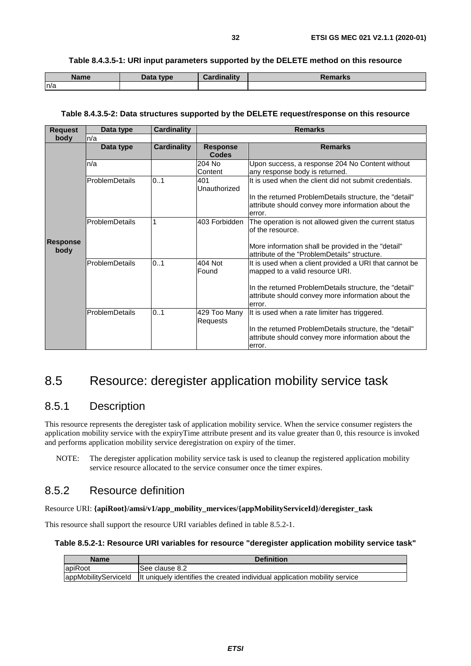<span id="page-31-0"></span>

| <b>Name</b> | <b>Pata type</b><br>Dala | Cardinality | Remarks |
|-------------|--------------------------|-------------|---------|
| ln/a        |                          |             |         |

#### **Table 8.4.3.5-2: Data structures supported by the DELETE request/response on this resource**

| <b>Request</b>          | Data type             | <b>Cardinality</b> | <b>Remarks</b>                  |                                                                                                                        |  |
|-------------------------|-----------------------|--------------------|---------------------------------|------------------------------------------------------------------------------------------------------------------------|--|
| body                    | n/a                   |                    |                                 |                                                                                                                        |  |
|                         | Data type             | <b>Cardinality</b> | <b>Response</b><br><b>Codes</b> | <b>Remarks</b>                                                                                                         |  |
|                         | n/a                   |                    | 204 No<br>Content               | Upon success, a response 204 No Content without<br>any response body is returned.                                      |  |
|                         | ProblemDetails        | 01                 | 401<br>Unauthorized             | It is used when the client did not submit credentials.                                                                 |  |
|                         |                       |                    |                                 | In the returned ProblemDetails structure, the "detail"<br>attribute should convey more information about the<br>error. |  |
|                         | ProblemDetails        |                    | 403 Forbidden                   | The operation is not allowed given the current status<br>of the resource.                                              |  |
| <b>Response</b><br>body |                       |                    |                                 | More information shall be provided in the "detail"<br>attribute of the "ProblemDetails" structure.                     |  |
|                         | <b>ProblemDetails</b> | 0.1                | 404 Not<br>Found                | It is used when a client provided a URI that cannot be<br>mapped to a valid resource URI.                              |  |
|                         |                       |                    |                                 | In the returned ProblemDetails structure, the "detail"<br>attribute should convey more information about the<br>error. |  |
|                         | ProblemDetails        | 01                 | 429 Too Many<br>Requests        | It is used when a rate limiter has triggered.                                                                          |  |
|                         |                       |                    |                                 | In the returned ProblemDetails structure, the "detail"<br>attribute should convey more information about the<br>error. |  |

# 8.5 Resource: deregister application mobility service task

### 8.5.1 Description

This resource represents the deregister task of application mobility service. When the service consumer registers the application mobility service with the expiryTime attribute present and its value greater than 0, this resource is invoked and performs application mobility service deregistration on expiry of the timer.

NOTE: The deregister application mobility service task is used to cleanup the registered application mobility service resource allocated to the service consumer once the timer expires.

### 8.5.2 Resource definition

Resource URI: **{apiRoot}/amsi/v1/app\_mobility\_mervices/{appMobilityServiceId}/deregister\_task** 

This resource shall support the resource URI variables defined in table 8.5.2-1.

#### **Table 8.5.2-1: Resource URI variables for resource "deregister application mobility service task"**

| <b>Name</b>          | <b>Definition</b>                                                          |
|----------------------|----------------------------------------------------------------------------|
| apiRoot              | See clause 8.2                                                             |
| appMobilityServiceId | It uniquely identifies the created individual application mobility service |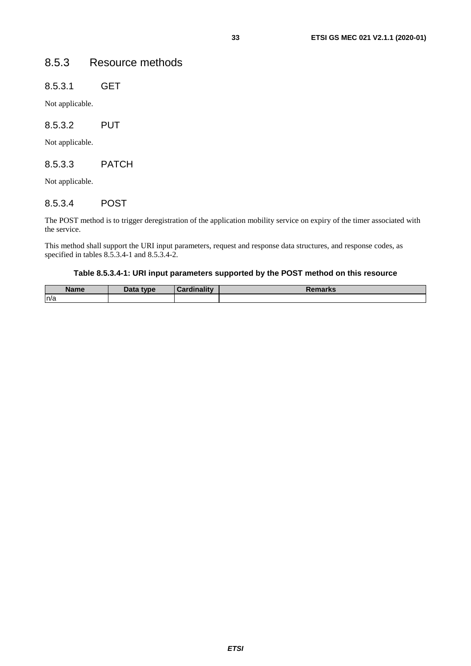### <span id="page-32-0"></span>8.5.3 Resource methods

8.5.3.1 GET

Not applicable.

8.5.3.2 PUT

Not applicable.

8.5.3.3 PATCH

Not applicable.

#### 8.5.3.4 POST

The POST method is to trigger deregistration of the application mobility service on expiry of the timer associated with the service.

This method shall support the URI input parameters, request and response data structures, and response codes, as specified in tables 8.5.3.4-1 and 8.5.3.4-2.

#### **Table 8.5.3.4-1: URI input parameters supported by the POST method on this resource**

| Name | Data type | .<br><br>$P = -1$ is $-11$<br>umantv | Domarke<br>ACIII AI AS |
|------|-----------|--------------------------------------|------------------------|
| ln/a |           |                                      |                        |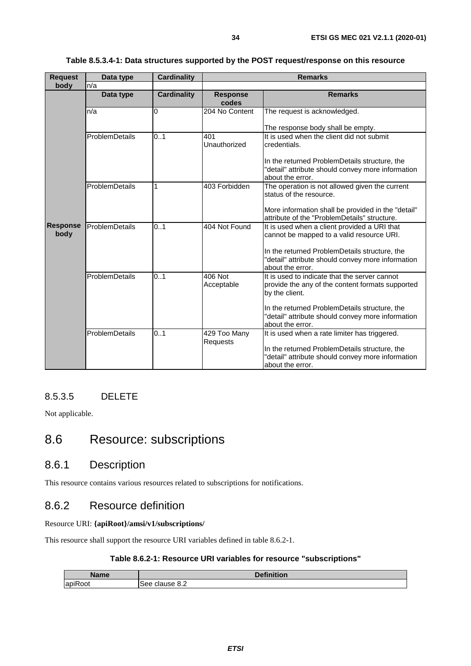<span id="page-33-0"></span>

| <b>Request</b>          | Data type             | <b>Cardinality</b> | <b>Remarks</b>           |                                                                                                                                                                                                 |  |
|-------------------------|-----------------------|--------------------|--------------------------|-------------------------------------------------------------------------------------------------------------------------------------------------------------------------------------------------|--|
| body                    | n/a                   |                    |                          |                                                                                                                                                                                                 |  |
|                         | Data type             | <b>Cardinality</b> | <b>Response</b><br>codes | <b>Remarks</b>                                                                                                                                                                                  |  |
|                         | n/a                   | $\Omega$           | 204 No Content           | The request is acknowledged.<br>The response body shall be empty.                                                                                                                               |  |
|                         | <b>ProblemDetails</b> | 0.1                | 401<br>Unauthorized      | It is used when the client did not submit<br>credentials.                                                                                                                                       |  |
|                         |                       |                    |                          | In the returned ProblemDetails structure, the<br>"detail" attribute should convey more information<br>about the error.                                                                          |  |
|                         | ProblemDetails        | 1                  | 403 Forbidden            | The operation is not allowed given the current<br>status of the resource.<br>More information shall be provided in the "detail"                                                                 |  |
|                         |                       |                    |                          | attribute of the "ProblemDetails" structure.                                                                                                                                                    |  |
| <b>Response</b><br>body | <b>ProblemDetails</b> | $\overline{0.1}$   | 404 Not Found            | It is used when a client provided a URI that<br>cannot be mapped to a valid resource URI.<br>In the returned ProblemDetails structure, the<br>"detail" attribute should convey more information |  |
|                         |                       |                    |                          | about the error.                                                                                                                                                                                |  |
|                         | ProblemDetails        | 0.1                | 406 Not<br>Acceptable    | It is used to indicate that the server cannot<br>provide the any of the content formats supported<br>by the client.                                                                             |  |
|                         |                       |                    |                          | In the returned ProblemDetails structure, the<br>"detail" attribute should convey more information<br>about the error.                                                                          |  |
|                         | ProblemDetails        | 0.1                | 429 Too Many<br>Requests | It is used when a rate limiter has triggered.<br>In the returned ProblemDetails structure, the<br>"detail" attribute should convey more information<br>about the error.                         |  |

#### **Table 8.5.3.4-1: Data structures supported by the POST request/response on this resource**

### 8.5.3.5 DELETE

Not applicable.

# 8.6 Resource: subscriptions

### 8.6.1 Description

This resource contains various resources related to subscriptions for notifications.

### 8.6.2 Resource definition

#### Resource URI: **{apiRoot}/amsi/v1/subscriptions/**

This resource shall support the resource URI variables defined in table 8.6.2-1.

#### **Table 8.6.2-1: Resource URI variables for resource "subscriptions"**

| <b>Name</b>   | <b>Pefinition</b>                        |
|---------------|------------------------------------------|
| lapiP<br>≺oot | ,<br>о<br>See<br>clause<br>. GIG.<br>v.z |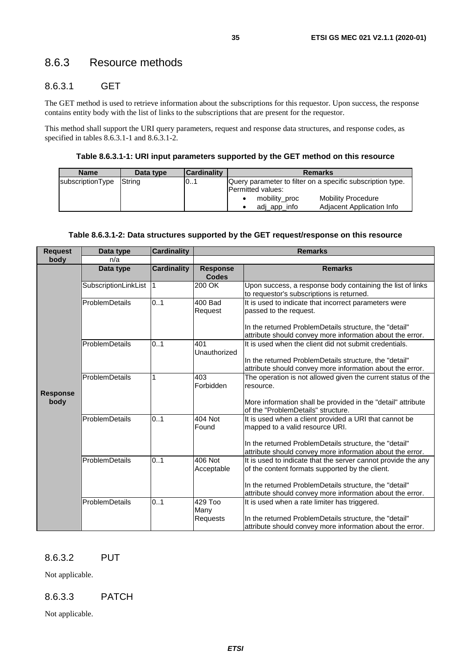### <span id="page-34-0"></span>8.6.3 Resource methods

#### 8.6.3.1 GET

The GET method is used to retrieve information about the subscriptions for this requestor. Upon success, the response contains entity body with the list of links to the subscriptions that are present for the requestor.

This method shall support the URI query parameters, request and response data structures, and response codes, as specified in tables 8.6.3.1-1 and 8.6.3.1-2.

**Table 8.6.3.1-1: URI input parameters supported by the GET method on this resource** 

| <b>Name</b>      | Data type     | <b>Cardinality</b> | <b>Remarks</b>                                                                                                                                                                    |
|------------------|---------------|--------------------|-----------------------------------------------------------------------------------------------------------------------------------------------------------------------------------|
| subscriptionType | <b>String</b> | 101                | Query parameter to filter on a specific subscription type.<br><b>Permitted values:</b><br>mobility_proc<br><b>Mobility Procedure</b><br>Adjacent Application Info<br>adj app info |

#### **Table 8.6.3.1-2: Data structures supported by the GET request/response on this resource**

| <b>Request</b>          | Data type             | <b>Cardinality</b> |                                 | <b>Remarks</b>                                                                                                      |  |  |
|-------------------------|-----------------------|--------------------|---------------------------------|---------------------------------------------------------------------------------------------------------------------|--|--|
| body                    | n/a                   |                    |                                 |                                                                                                                     |  |  |
|                         | Data type             | <b>Cardinality</b> | <b>Response</b><br><b>Codes</b> | <b>Remarks</b>                                                                                                      |  |  |
|                         | SubscriptionLinkList  | 1                  | 200 OK                          | Upon success, a response body containing the list of links<br>to requestor's subscriptions is returned.             |  |  |
|                         | <b>ProblemDetails</b> | 0.1                | 400 Bad<br>Request              | It is used to indicate that incorrect parameters were<br>passed to the request.                                     |  |  |
|                         |                       |                    |                                 | In the returned ProblemDetails structure, the "detail"<br>attribute should convey more information about the error. |  |  |
|                         | ProblemDetails        | 01                 | 401<br>Unauthorized             | It is used when the client did not submit credentials.                                                              |  |  |
|                         |                       |                    |                                 | In the returned ProblemDetails structure, the "detail"<br>attribute should convey more information about the error. |  |  |
|                         | ProblemDetails        |                    | 403<br>Forbidden                | The operation is not allowed given the current status of the<br>resource.                                           |  |  |
| <b>Response</b><br>body |                       |                    |                                 | More information shall be provided in the "detail" attribute<br>of the "ProblemDetails" structure.                  |  |  |
|                         | ProblemDetails        | 0.1                | 404 Not<br>Found                | It is used when a client provided a URI that cannot be<br>mapped to a valid resource URI.                           |  |  |
|                         |                       |                    |                                 | In the returned ProblemDetails structure, the "detail"<br>attribute should convey more information about the error. |  |  |
|                         | ProblemDetails        | 0.1                | 406 Not<br>Acceptable           | It is used to indicate that the server cannot provide the any<br>of the content formats supported by the client.    |  |  |
|                         |                       |                    |                                 | In the returned ProblemDetails structure, the "detail"<br>attribute should convey more information about the error. |  |  |
|                         | ProblemDetails        | 0.1                | 429 Too<br>Many                 | It is used when a rate limiter has triggered.                                                                       |  |  |
|                         |                       |                    | Requests                        | In the returned ProblemDetails structure, the "detail"<br>attribute should convey more information about the error. |  |  |

#### 8.6.3.2 PUT

Not applicable.

#### 8.6.3.3 PATCH

Not applicable.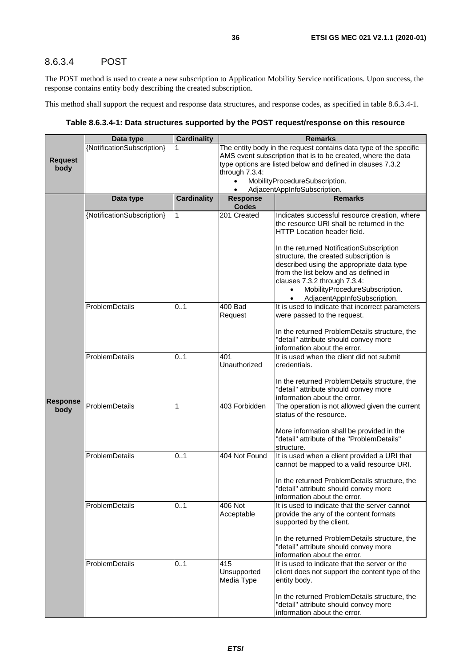#### <span id="page-35-0"></span>8.6.3.4 POST

The POST method is used to create a new subscription to Application Mobility Service notifications. Upon success, the response contains entity body describing the created subscription.

This method shall support the request and response data structures, and response codes, as specified in table 8.6.3.4-1.

**Table 8.6.3.4-1: Data structures supported by the POST request/response on this resource** 

|                        | Data type                  | <b>Cardinality</b> |                             | <b>Remarks</b>                                                                         |
|------------------------|----------------------------|--------------------|-----------------------------|----------------------------------------------------------------------------------------|
|                        | {NotificationSubscription} |                    |                             | The entity body in the request contains data type of the specific                      |
|                        |                            |                    |                             | AMS event subscription that is to be created, where the data                           |
| <b>Request</b><br>body |                            |                    |                             | type options are listed below and defined in clauses 7.3.2                             |
|                        |                            |                    | through 7.3.4:              |                                                                                        |
|                        |                            |                    | $\bullet$                   | MobilityProcedureSubscription.                                                         |
|                        |                            |                    |                             | AdjacentAppInfoSubscription.                                                           |
|                        | Data type                  | <b>Cardinality</b> | <b>Response</b>             | <b>Remarks</b>                                                                         |
|                        | {NotificationSubscription} | 1                  | <b>Codes</b><br>201 Created | Indicates successful resource creation, where                                          |
|                        |                            |                    |                             | the resource URI shall be returned in the                                              |
|                        |                            |                    |                             | <b>HTTP</b> Location header field.                                                     |
|                        |                            |                    |                             |                                                                                        |
|                        |                            |                    |                             | In the returned NotificationSubscription                                               |
|                        |                            |                    |                             | structure, the created subscription is                                                 |
|                        |                            |                    |                             | described using the appropriate data type                                              |
|                        |                            |                    |                             | from the list below and as defined in                                                  |
|                        |                            |                    |                             | clauses 7.3.2 through 7.3.4:                                                           |
|                        |                            |                    |                             | MobilityProcedureSubscription.<br>$\bullet$                                            |
|                        |                            |                    |                             | AdjacentAppInfoSubscription.                                                           |
|                        | ProblemDetails             | 0.1                | 400 Bad                     | It is used to indicate that incorrect parameters                                       |
|                        |                            |                    | Request                     | were passed to the request.                                                            |
|                        |                            |                    |                             | In the returned ProblemDetails structure, the                                          |
|                        |                            |                    |                             | "detail" attribute should convey more                                                  |
|                        |                            |                    |                             | information about the error.                                                           |
|                        | ProblemDetails             | 0.1                | 401                         | It is used when the client did not submit                                              |
|                        |                            |                    | Unauthorized                | credentials.                                                                           |
|                        |                            |                    |                             |                                                                                        |
|                        |                            |                    |                             | In the returned ProblemDetails structure, the                                          |
|                        |                            |                    |                             | "detail" attribute should convey more                                                  |
| <b>Response</b>        |                            |                    |                             | information about the error.                                                           |
| body                   | ProblemDetails             | 1                  | 403 Forbidden               | The operation is not allowed given the current                                         |
|                        |                            |                    |                             | status of the resource.                                                                |
|                        |                            |                    |                             | More information shall be provided in the                                              |
|                        |                            |                    |                             | "detail" attribute of the "ProblemDetails"                                             |
|                        |                            |                    |                             | structure.                                                                             |
|                        | ProblemDetails             | 0.1                | 404 Not Found               | It is used when a client provided a URI that                                           |
|                        |                            |                    |                             | cannot be mapped to a valid resource URI.                                              |
|                        |                            |                    |                             |                                                                                        |
|                        |                            |                    |                             | In the returned ProblemDetails structure, the                                          |
|                        |                            |                    |                             | 'detail" attribute should convey more                                                  |
|                        | ProblemDetails             | 0.1                | 406 Not                     | information about the error.<br>It is used to indicate that the server cannot          |
|                        |                            |                    | Acceptable                  | provide the any of the content formats                                                 |
|                        |                            |                    |                             | supported by the client.                                                               |
|                        |                            |                    |                             |                                                                                        |
|                        |                            |                    |                             | In the returned ProblemDetails structure, the                                          |
|                        |                            |                    |                             | "detail" attribute should convey more                                                  |
|                        |                            |                    |                             | information about the error.                                                           |
|                        | ProblemDetails             | 0.1                | 415                         | It is used to indicate that the server or the                                          |
|                        |                            |                    | Unsupported                 | client does not support the content type of the                                        |
|                        |                            |                    | Media Type                  | entity body.                                                                           |
|                        |                            |                    |                             |                                                                                        |
|                        |                            |                    |                             | In the returned ProblemDetails structure, the<br>"detail" attribute should convey more |
|                        |                            |                    |                             | information about the error.                                                           |
|                        |                            |                    |                             |                                                                                        |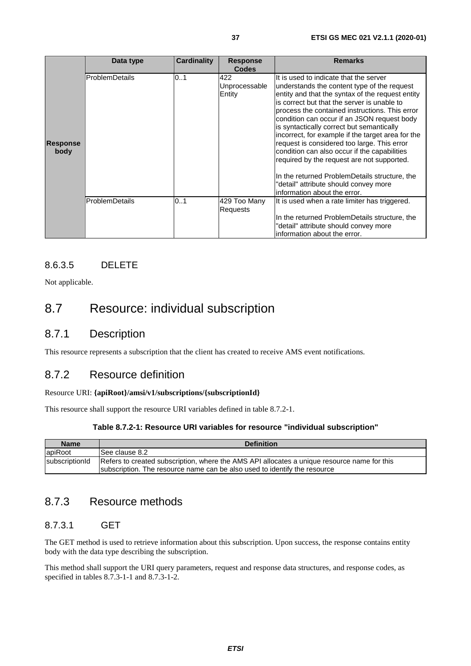<span id="page-36-0"></span>

|                         | Data type             | <b>Cardinality</b> | <b>Response</b><br><b>Codes</b> | <b>Remarks</b>                                                                                                                                                                                                                                                                                                                                                                                                                                                                                                                                                                                                                                                     |
|-------------------------|-----------------------|--------------------|---------------------------------|--------------------------------------------------------------------------------------------------------------------------------------------------------------------------------------------------------------------------------------------------------------------------------------------------------------------------------------------------------------------------------------------------------------------------------------------------------------------------------------------------------------------------------------------------------------------------------------------------------------------------------------------------------------------|
| <b>Response</b><br>body | <b>ProblemDetails</b> | 01                 | 422<br>Unprocessable<br>Entity  | It is used to indicate that the server<br>understands the content type of the request<br>entity and that the syntax of the request entity<br>is correct but that the server is unable to<br>process the contained instructions. This error<br>condition can occur if an JSON request body<br>is syntactically correct but semantically<br>incorrect, for example if the target area for the<br>request is considered too large. This error<br>condition can also occur if the capabilities<br>required by the request are not supported.<br>In the returned ProblemDetails structure, the<br>"detail" attribute should convey more<br>information about the error. |
|                         | <b>ProblemDetails</b> | 0.1                | 429 Too Many<br><b>Requests</b> | It is used when a rate limiter has triggered.                                                                                                                                                                                                                                                                                                                                                                                                                                                                                                                                                                                                                      |
|                         |                       |                    |                                 | In the returned ProblemDetails structure, the<br>"detail" attribute should convey more                                                                                                                                                                                                                                                                                                                                                                                                                                                                                                                                                                             |
|                         |                       |                    |                                 | information about the error.                                                                                                                                                                                                                                                                                                                                                                                                                                                                                                                                                                                                                                       |

### 8.6.3.5 DELETE

Not applicable.

# 8.7 Resource: individual subscription

### 8.7.1 Description

This resource represents a subscription that the client has created to receive AMS event notifications.

### 8.7.2 Resource definition

#### Resource URI: **{apiRoot}/amsi/v1/subscriptions/{subscriptionId}**

This resource shall support the resource URI variables defined in table 8.7.2-1.

#### **Table 8.7.2-1: Resource URI variables for resource "individual subscription"**

| <b>Name</b>    | <b>Definition</b>                                                                           |
|----------------|---------------------------------------------------------------------------------------------|
| lapiRoot       | See clause 8.2                                                                              |
| subscriptionId | Refers to created subscription, where the AMS API allocates a unique resource name for this |
|                | subscription. The resource name can be also used to identify the resource                   |

### 8.7.3 Resource methods

#### 8.7.3.1 GET

The GET method is used to retrieve information about this subscription. Upon success, the response contains entity body with the data type describing the subscription.

This method shall support the URI query parameters, request and response data structures, and response codes, as specified in tables 8.7.3-1-1 and 8.7.3-1-2.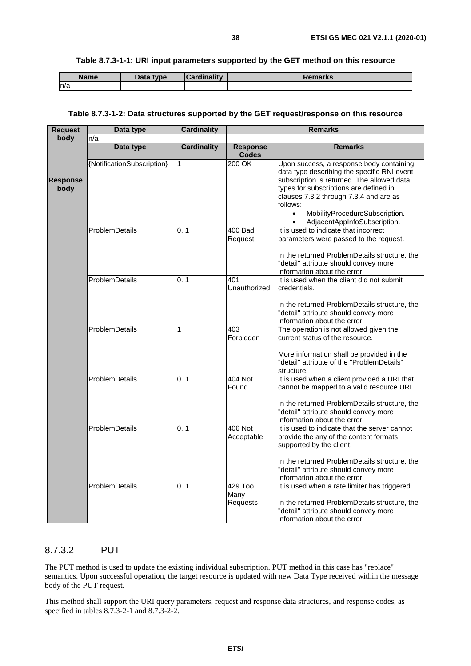#### **Table 8.7.3-1-1: URI input parameters supported by the GET method on this resource**

<span id="page-37-0"></span>

| <b>Name</b> | Data type | <b>Cardinality</b> | Remarks |
|-------------|-----------|--------------------|---------|
| n/a         |           |                    |         |

#### **Table 8.7.3-1-2: Data structures supported by the GET request/response on this resource**

| <b>Request</b>          | Data type                  | <b>Cardinality</b> |                                 | <b>Remarks</b>                                                                                                                                                                                                                                                                                                                    |
|-------------------------|----------------------------|--------------------|---------------------------------|-----------------------------------------------------------------------------------------------------------------------------------------------------------------------------------------------------------------------------------------------------------------------------------------------------------------------------------|
| body                    | n/a                        |                    |                                 |                                                                                                                                                                                                                                                                                                                                   |
|                         | Data type                  | <b>Cardinality</b> | <b>Response</b><br><b>Codes</b> | <b>Remarks</b>                                                                                                                                                                                                                                                                                                                    |
| <b>Response</b><br>body | {NotificationSubscription} | 1                  | 200 OK                          | Upon success, a response body containing<br>data type describing the specific RNI event<br>subscription is returned. The allowed data<br>types for subscriptions are defined in<br>clauses 7.3.2 through 7.3.4 and are as<br>follows:<br>MobilityProcedureSubscription.<br>$\bullet$<br>AdjacentAppInfoSubscription.<br>$\bullet$ |
|                         | ProblemDetails             | 0.1                | 400 Bad<br>Request              | It is used to indicate that incorrect<br>parameters were passed to the request.<br>In the returned ProblemDetails structure, the<br>"detail" attribute should convey more                                                                                                                                                         |
|                         |                            |                    |                                 | information about the error.                                                                                                                                                                                                                                                                                                      |
|                         | ProblemDetails             | 01                 | 401<br>Unauthorized             | It is used when the client did not submit<br>credentials.                                                                                                                                                                                                                                                                         |
|                         |                            |                    |                                 | In the returned ProblemDetails structure, the<br>"detail" attribute should convey more<br>information about the error.                                                                                                                                                                                                            |
|                         | ProblemDetails             | 1                  | 403<br>Forbidden                | The operation is not allowed given the<br>current status of the resource.<br>More information shall be provided in the                                                                                                                                                                                                            |
|                         |                            |                    |                                 | "detail" attribute of the "ProblemDetails"<br>structure.                                                                                                                                                                                                                                                                          |
|                         | <b>ProblemDetails</b>      | 01                 | 404 Not<br>Found                | It is used when a client provided a URI that<br>cannot be mapped to a valid resource URI.                                                                                                                                                                                                                                         |
|                         |                            |                    |                                 | In the returned ProblemDetails structure, the<br>"detail" attribute should convey more<br>information about the error.                                                                                                                                                                                                            |
|                         | ProblemDetails             | 01                 | 406 Not<br>Acceptable           | It is used to indicate that the server cannot<br>provide the any of the content formats<br>supported by the client.<br>In the returned ProblemDetails structure, the                                                                                                                                                              |
|                         |                            |                    |                                 | "detail" attribute should convey more<br>information about the error.                                                                                                                                                                                                                                                             |
|                         | ProblemDetails             | 01                 | 429 Too<br>Many                 | It is used when a rate limiter has triggered.                                                                                                                                                                                                                                                                                     |
|                         |                            |                    | Requests                        | In the returned ProblemDetails structure, the<br>"detail" attribute should convey more<br>information about the error.                                                                                                                                                                                                            |

### 8.7.3.2 PUT

The PUT method is used to update the existing individual subscription. PUT method in this case has "replace" semantics. Upon successful operation, the target resource is updated with new Data Type received within the message body of the PUT request.

This method shall support the URI query parameters, request and response data structures, and response codes, as specified in tables 8.7.3-2-1 and 8.7.3-2-2.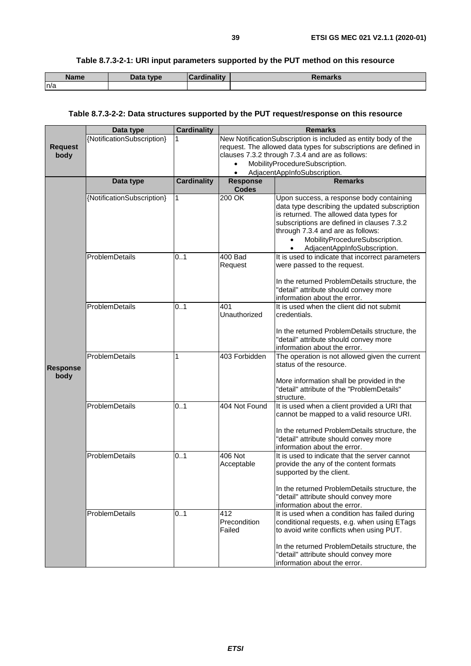#### **Table 8.7.3-2-1: URI input parameters supported by the PUT method on this resource**

| <b>Name</b> | Data type | <b>Cardinality</b> | emarks |
|-------------|-----------|--------------------|--------|
| ln/a        |           |                    |        |
|             |           |                    |        |

### **Table 8.7.3-2-2: Data structures supported by the PUT request/response on this resource**

|                 | Data type                  | <b>Cardinality</b> |                                             | <b>Remarks</b>                                                                          |
|-----------------|----------------------------|--------------------|---------------------------------------------|-----------------------------------------------------------------------------------------|
|                 | {NotificationSubscription} |                    |                                             | New NotificationSubscription is included as entity body of the                          |
| <b>Request</b>  |                            |                    |                                             | request. The allowed data types for subscriptions are defined in                        |
| body            |                            |                    |                                             | clauses 7.3.2 through 7.3.4 and are as follows:                                         |
|                 |                            |                    | MobilityProcedureSubscription.<br>$\bullet$ |                                                                                         |
|                 |                            |                    | $\bullet$                                   | AdjacentAppInfoSubscription.<br><b>Remarks</b>                                          |
|                 | Data type                  | <b>Cardinality</b> | <b>Response</b><br><b>Codes</b>             |                                                                                         |
|                 | {NotificationSubscription} | 1                  | 200 OK                                      | Upon success, a response body containing                                                |
|                 |                            |                    |                                             | data type describing the updated subscription                                           |
|                 |                            |                    |                                             | is returned. The allowed data types for                                                 |
|                 |                            |                    |                                             | subscriptions are defined in clauses 7.3.2                                              |
|                 |                            |                    |                                             | through 7.3.4 and are as follows:                                                       |
|                 |                            |                    |                                             | MobilityProcedureSubscription.                                                          |
|                 |                            |                    |                                             | AdjacentAppInfoSubscription.                                                            |
|                 | <b>ProblemDetails</b>      | 01                 | 400 Bad                                     | It is used to indicate that incorrect parameters                                        |
|                 |                            |                    | Request                                     | were passed to the request.                                                             |
|                 |                            |                    |                                             | In the returned ProblemDetails structure, the                                           |
|                 |                            |                    |                                             | "detail" attribute should convey more                                                   |
|                 |                            |                    |                                             | information about the error.                                                            |
|                 | ProblemDetails             | 0.1                | 401                                         | It is used when the client did not submit                                               |
|                 |                            |                    | Unauthorized                                | credentials.                                                                            |
|                 |                            |                    |                                             |                                                                                         |
|                 |                            |                    |                                             | In the returned ProblemDetails structure, the<br>"detail" attribute should convey more  |
|                 |                            |                    |                                             | information about the error.                                                            |
|                 | ProblemDetails             |                    | 403 Forbidden                               | The operation is not allowed given the current                                          |
| <b>Response</b> |                            |                    |                                             | status of the resource.                                                                 |
| body            |                            |                    |                                             |                                                                                         |
|                 |                            |                    |                                             | More information shall be provided in the<br>"detail" attribute of the "ProblemDetails" |
|                 |                            |                    |                                             | structure.                                                                              |
|                 | <b>ProblemDetails</b>      | 0.1                | 404 Not Found                               | It is used when a client provided a URI that                                            |
|                 |                            |                    |                                             | cannot be mapped to a valid resource URI.                                               |
|                 |                            |                    |                                             |                                                                                         |
|                 |                            |                    |                                             | In the returned ProblemDetails structure, the<br>"detail" attribute should convey more  |
|                 |                            |                    |                                             | information about the error.                                                            |
|                 | <b>ProblemDetails</b>      | 0.1                | 406 Not                                     | It is used to indicate that the server cannot                                           |
|                 |                            |                    | Acceptable                                  | provide the any of the content formats                                                  |
|                 |                            |                    |                                             | supported by the client.                                                                |
|                 |                            |                    |                                             |                                                                                         |
|                 |                            |                    |                                             | In the returned ProblemDetails structure, the                                           |
|                 |                            |                    |                                             | "detail" attribute should convey more<br>information about the error.                   |
|                 | ProblemDetails             | 01                 | 412                                         | It is used when a condition has failed during                                           |
|                 |                            |                    | Precondition                                | conditional requests, e.g. when using ETags                                             |
|                 |                            |                    | Failed                                      | to avoid write conflicts when using PUT.                                                |
|                 |                            |                    |                                             |                                                                                         |
|                 |                            |                    |                                             | In the returned ProblemDetails structure, the                                           |
|                 |                            |                    |                                             | "detail" attribute should convey more<br>information about the error.                   |
|                 |                            |                    |                                             |                                                                                         |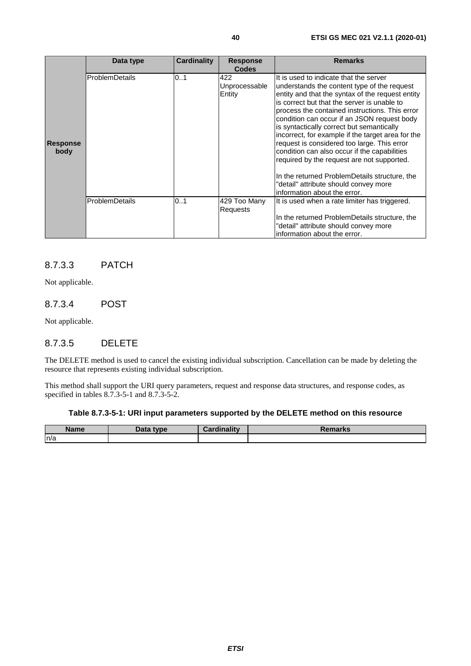<span id="page-39-0"></span>

|                  | Data type       | <b>Cardinality</b> | <b>Response</b><br><b>Codes</b> | <b>Remarks</b>                                                                                                                                                                                                                                                                                                                                                                                                                                                                                                                                                                                                                                                     |
|------------------|-----------------|--------------------|---------------------------------|--------------------------------------------------------------------------------------------------------------------------------------------------------------------------------------------------------------------------------------------------------------------------------------------------------------------------------------------------------------------------------------------------------------------------------------------------------------------------------------------------------------------------------------------------------------------------------------------------------------------------------------------------------------------|
| Response<br>body | lProblemDetails | 01                 | 422<br>Unprocessable<br>Entity  | It is used to indicate that the server<br>understands the content type of the request<br>entity and that the syntax of the request entity<br>is correct but that the server is unable to<br>process the contained instructions. This error<br>condition can occur if an JSON request body<br>is syntactically correct but semantically<br>incorrect, for example if the target area for the<br>request is considered too large. This error<br>condition can also occur if the capabilities<br>required by the request are not supported.<br>In the returned ProblemDetails structure, the<br>"detail" attribute should convey more<br>information about the error. |
|                  | lProblemDetails | 0.1                | 429 Too Many<br>Requests        | It is used when a rate limiter has triggered.                                                                                                                                                                                                                                                                                                                                                                                                                                                                                                                                                                                                                      |
|                  |                 |                    |                                 | In the returned ProblemDetails structure, the<br>"detail" attribute should convey more                                                                                                                                                                                                                                                                                                                                                                                                                                                                                                                                                                             |
|                  |                 |                    |                                 | information about the error.                                                                                                                                                                                                                                                                                                                                                                                                                                                                                                                                                                                                                                       |

### 8.7.3.3 PATCH

Not applicable.

#### 8.7.3.4 POST

Not applicable.

#### 8.7.3.5 DELETE

The DELETE method is used to cancel the existing individual subscription. Cancellation can be made by deleting the resource that represents existing individual subscription.

This method shall support the URI query parameters, request and response data structures, and response codes, as specified in tables  $8.7.3-5-1$  and  $8.7.3-5-2$ .

#### **Table 8.7.3-5-1: URI input parameters supported by the DELETE method on this resource**

| Name | Data type | Cardinality | emarks |
|------|-----------|-------------|--------|
| n/a  |           |             |        |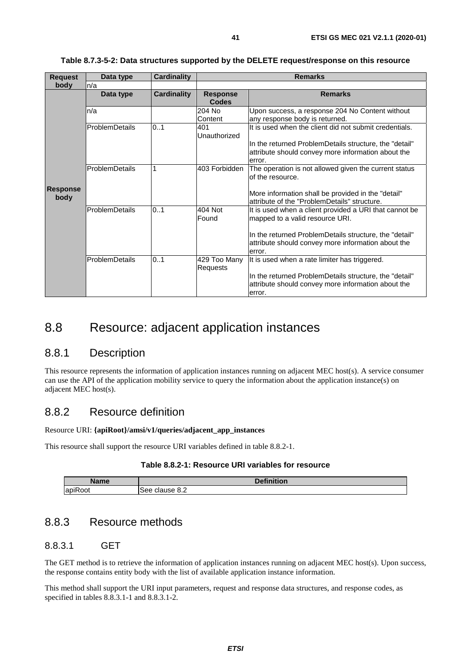| <b>Request</b>          | Data type      | <b>Cardinality</b> | <b>Remarks</b>                  |                                                                                                                        |  |
|-------------------------|----------------|--------------------|---------------------------------|------------------------------------------------------------------------------------------------------------------------|--|
| body                    | In/a           |                    |                                 |                                                                                                                        |  |
|                         | Data type      | <b>Cardinality</b> | <b>Response</b><br><b>Codes</b> | <b>Remarks</b>                                                                                                         |  |
|                         | n/a            |                    | 204 No<br>Content               | Upon success, a response 204 No Content without<br>any response body is returned.                                      |  |
|                         | ProblemDetails | 0.1                | 401<br>Unauthorized             | It is used when the client did not submit credentials.                                                                 |  |
|                         |                |                    |                                 | In the returned ProblemDetails structure, the "detail"<br>attribute should convey more information about the<br>error. |  |
|                         | ProblemDetails |                    | 403 Forbidden                   | The operation is not allowed given the current status<br>of the resource.                                              |  |
| <b>Response</b><br>body |                |                    |                                 | More information shall be provided in the "detail"<br>attribute of the "ProblemDetails" structure.                     |  |
|                         | ProblemDetails | 0.1                | 404 Not<br>Found                | It is used when a client provided a URI that cannot be<br>mapped to a valid resource URI.                              |  |
|                         |                |                    |                                 | In the returned ProblemDetails structure, the "detail"<br>attribute should convey more information about the<br>error. |  |
|                         | ProblemDetails | 0.1                | 429 Too Many<br><b>Requests</b> | It is used when a rate limiter has triggered.                                                                          |  |
|                         |                |                    |                                 | In the returned ProblemDetails structure, the "detail"<br>attribute should convey more information about the<br>error. |  |

<span id="page-40-0"></span>**Table 8.7.3-5-2: Data structures supported by the DELETE request/response on this resource** 

# 8.8 Resource: adjacent application instances

### 8.8.1 Description

This resource represents the information of application instances running on adjacent MEC host(s). A service consumer can use the API of the application mobility service to query the information about the application instance(s) on adjacent MEC host(s).

### 8.8.2 Resource definition

#### Resource URI: **{apiRoot}/amsi/v1/queries/adjacent\_app\_instances**

This resource shall support the resource URI variables defined in table 8.8.2-1.

#### **Table 8.8.2-1: Resource URI variables for resource**

| Name                                      | $D = 0.11112$<br>1Itlon.<br>. . |
|-------------------------------------------|---------------------------------|
| $\overline{\phantom{a}}$<br>lapıl<br>៶୰៴៶ | ററ<br>See<br>use<br>ciai<br>◡.∠ |

### 8.8.3 Resource methods

#### 8.8.3.1 GET

The GET method is to retrieve the information of application instances running on adjacent MEC host(s). Upon success, the response contains entity body with the list of available application instance information.

This method shall support the URI input parameters, request and response data structures, and response codes, as specified in tables 8.8.3.1-1 and 8.8.3.1-2.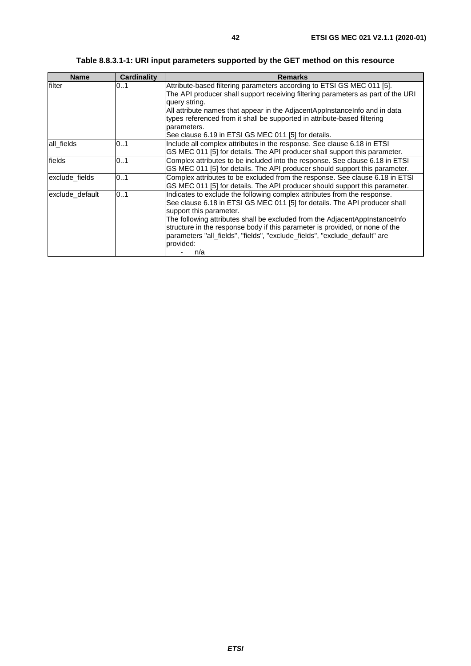|  | Table 8.8.3.1-1: URI input parameters supported by the GET method on this resource |  |  |
|--|------------------------------------------------------------------------------------|--|--|
|--|------------------------------------------------------------------------------------|--|--|

| <b>Name</b>     | <b>Cardinality</b> | <b>Remarks</b>                                                                                                                                                                                                                                                                                                                                                                                                                                     |
|-----------------|--------------------|----------------------------------------------------------------------------------------------------------------------------------------------------------------------------------------------------------------------------------------------------------------------------------------------------------------------------------------------------------------------------------------------------------------------------------------------------|
| filter          | 01                 | Attribute-based filtering parameters according to ETSI GS MEC 011 [5].<br>The API producer shall support receiving filtering parameters as part of the URI<br>query string.<br>All attribute names that appear in the AdjacentAppInstanceInfo and in data<br>types referenced from it shall be supported in attribute-based filtering<br>parameters.                                                                                               |
|                 |                    | See clause 6.19 in ETSI GS MEC 011 [5] for details.                                                                                                                                                                                                                                                                                                                                                                                                |
| all fields      | 01                 | Include all complex attributes in the response. See clause 6.18 in ETSI<br>GS MEC 011 [5] for details. The API producer shall support this parameter.                                                                                                                                                                                                                                                                                              |
| fields          | 01                 | Complex attributes to be included into the response. See clause 6.18 in ETSI<br>GS MEC 011 [5] for details. The API producer should support this parameter.                                                                                                                                                                                                                                                                                        |
| exclude fields  | 01                 | Complex attributes to be excluded from the response. See clause 6.18 in ETSI<br>GS MEC 011 [5] for details. The API producer should support this parameter.                                                                                                                                                                                                                                                                                        |
| exclude default | 01                 | Indicates to exclude the following complex attributes from the response.<br>See clause 6.18 in ETSI GS MEC 011 [5] for details. The API producer shall<br>support this parameter.<br>The following attributes shall be excluded from the AdjacentAppInstanceInfo<br>structure in the response body if this parameter is provided, or none of the<br>parameters "all_fields", "fields", "exclude_fields", "exclude_default" are<br>provided:<br>n/a |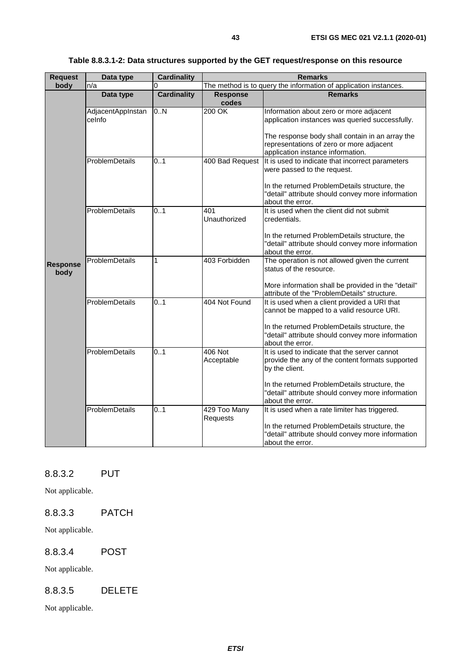<span id="page-42-0"></span>

| <b>Request</b>          | Data type                   | <b>Cardinality</b> | <b>Remarks</b>           |                                                                                                                                  |  |
|-------------------------|-----------------------------|--------------------|--------------------------|----------------------------------------------------------------------------------------------------------------------------------|--|
| body                    | n/a                         | 0                  |                          | The method is to query the information of application instances.                                                                 |  |
|                         | Data type                   | <b>Cardinality</b> | <b>Response</b>          | <b>Remarks</b>                                                                                                                   |  |
|                         |                             |                    | codes                    |                                                                                                                                  |  |
|                         | AdjacentAppInstan<br>celnfo | 0.N                | 200 OK                   | Information about zero or more adjacent<br>application instances was queried successfully.                                       |  |
|                         |                             |                    |                          | The response body shall contain in an array the<br>representations of zero or more adjacent<br>application instance information. |  |
|                         | <b>ProblemDetails</b>       | 0.1                | 400 Bad Request          | It is used to indicate that incorrect parameters<br>were passed to the request.                                                  |  |
|                         |                             |                    |                          | In the returned ProblemDetails structure, the<br>"detail" attribute should convey more information<br>about the error.           |  |
|                         | <b>ProblemDetails</b>       | 0.1                | 401<br>Unauthorized      | It is used when the client did not submit<br>credentials.                                                                        |  |
|                         |                             |                    |                          | In the returned ProblemDetails structure, the<br>"detail" attribute should convey more information<br>about the error.           |  |
| <b>Response</b><br>body | ProblemDetails              | 1                  | 403 Forbidden            | The operation is not allowed given the current<br>status of the resource.                                                        |  |
|                         |                             |                    |                          | More information shall be provided in the "detail"<br>attribute of the "ProblemDetails" structure.                               |  |
|                         | ProblemDetails              | 0.1                | 404 Not Found            | It is used when a client provided a URI that<br>cannot be mapped to a valid resource URI.                                        |  |
|                         |                             |                    |                          | In the returned ProblemDetails structure, the<br>"detail" attribute should convey more information<br>about the error.           |  |
|                         | <b>ProblemDetails</b>       | 0.1                | 406 Not<br>Acceptable    | It is used to indicate that the server cannot<br>provide the any of the content formats supported<br>by the client.              |  |
|                         |                             |                    |                          | In the returned ProblemDetails structure, the<br>"detail" attribute should convey more information<br>about the error.           |  |
|                         | <b>ProblemDetails</b>       | 0.1                | 429 Too Many<br>Requests | It is used when a rate limiter has triggered.                                                                                    |  |
|                         |                             |                    |                          | In the returned ProblemDetails structure, the<br>"detail" attribute should convey more information<br>about the error.           |  |

### **Table 8.8.3.1-2: Data structures supported by the GET request/response on this resource**

#### 8.8.3.2 PUT

Not applicable.

8.8.3.3 PATCH

Not applicable.

8.8.3.4 POST

Not applicable.

### 8.8.3.5 DELETE

Not applicable.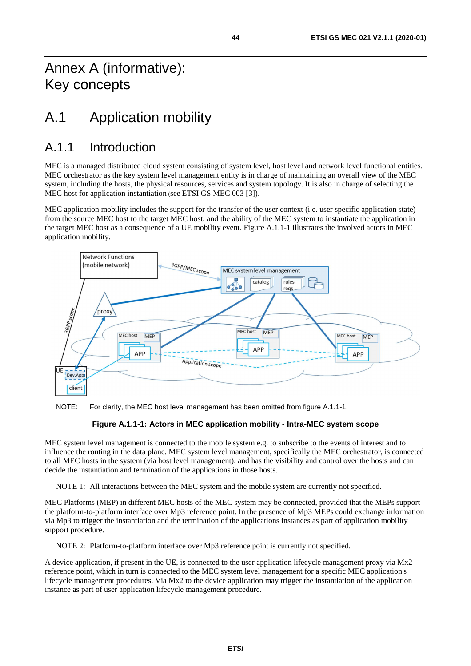# <span id="page-43-0"></span>Annex A (informative): Key concepts

# A.1 Application mobility

# A.1.1 Introduction

MEC is a managed distributed cloud system consisting of system level, host level and network level functional entities. MEC orchestrator as the key system level management entity is in charge of maintaining an overall view of the MEC system, including the hosts, the physical resources, services and system topology. It is also in charge of selecting the MEC host for application instantiation (see ETSI GS MEC 003 [[3\]](#page-6-0)).

MEC application mobility includes the support for the transfer of the user context (i.e. user specific application state) from the source MEC host to the target MEC host, and the ability of the MEC system to instantiate the application in the target MEC host as a consequence of a UE mobility event. Figure A.1.1-1 illustrates the involved actors in MEC application mobility.





#### **Figure A.1.1-1: Actors in MEC application mobility - Intra-MEC system scope**

MEC system level management is connected to the mobile system e.g. to subscribe to the events of interest and to influence the routing in the data plane. MEC system level management, specifically the MEC orchestrator, is connected to all MEC hosts in the system (via host level management), and has the visibility and control over the hosts and can decide the instantiation and termination of the applications in those hosts.

NOTE 1: All interactions between the MEC system and the mobile system are currently not specified.

MEC Platforms (MEP) in different MEC hosts of the MEC system may be connected, provided that the MEPs support the platform-to-platform interface over Mp3 reference point. In the presence of Mp3 MEPs could exchange information via Mp3 to trigger the instantiation and the termination of the applications instances as part of application mobility support procedure.

NOTE 2: Platform-to-platform interface over Mp3 reference point is currently not specified.

A device application, if present in the UE, is connected to the user application lifecycle management proxy via Mx2 reference point, which in turn is connected to the MEC system level management for a specific MEC application's lifecycle management procedures. Via Mx2 to the device application may trigger the instantiation of the application instance as part of user application lifecycle management procedure.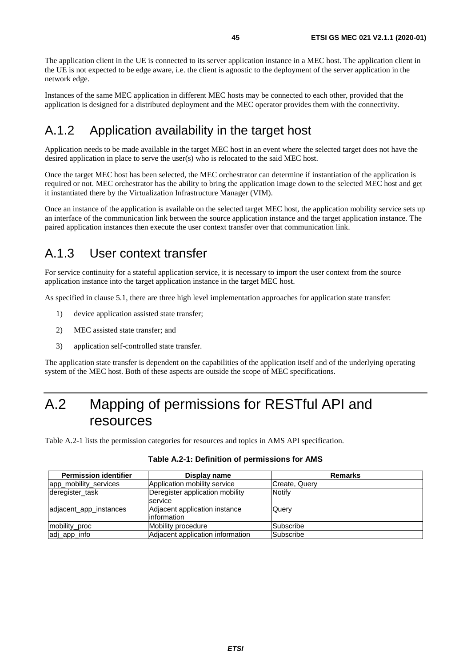<span id="page-44-0"></span>The application client in the UE is connected to its server application instance in a MEC host. The application client in the UE is not expected to be edge aware, i.e. the client is agnostic to the deployment of the server application in the network edge.

Instances of the same MEC application in different MEC hosts may be connected to each other, provided that the application is designed for a distributed deployment and the MEC operator provides them with the connectivity.

# A.1.2 Application availability in the target host

Application needs to be made available in the target MEC host in an event where the selected target does not have the desired application in place to serve the user(s) who is relocated to the said MEC host.

Once the target MEC host has been selected, the MEC orchestrator can determine if instantiation of the application is required or not. MEC orchestrator has the ability to bring the application image down to the selected MEC host and get it instantiated there by the Virtualization Infrastructure Manager (VIM).

Once an instance of the application is available on the selected target MEC host, the application mobility service sets up an interface of the communication link between the source application instance and the target application instance. The paired application instances then execute the user context transfer over that communication link.

# A.1.3 User context transfer

For service continuity for a stateful application service, it is necessary to import the user context from the source application instance into the target application instance in the target MEC host.

As specified in clause 5.1, there are three high level implementation approaches for application state transfer:

- 1) device application assisted state transfer;
- 2) MEC assisted state transfer; and
- 3) application self-controlled state transfer.

The application state transfer is dependent on the capabilities of the application itself and of the underlying operating system of the MEC host. Both of these aspects are outside the scope of MEC specifications.

# A.2 Mapping of permissions for RESTful API and resources

Table A.2-1 lists the permission categories for resources and topics in AMS API specification.

| <b>Permission identifier</b> | Display name                     | <b>Remarks</b>   |
|------------------------------|----------------------------------|------------------|
| app_mobility_services        | Application mobility service     | Create, Query    |
| deregister task              | Deregister application mobility  | Notify           |
|                              | service                          |                  |
| adjacent app instances       | Adjacent application instance    | Query            |
|                              | linformation                     |                  |
| mobility_proc                | Mobility procedure               | Subscribe        |
| adj_app_info                 | Adjacent application information | <b>Subscribe</b> |

#### **Table A.2-1: Definition of permissions for AMS**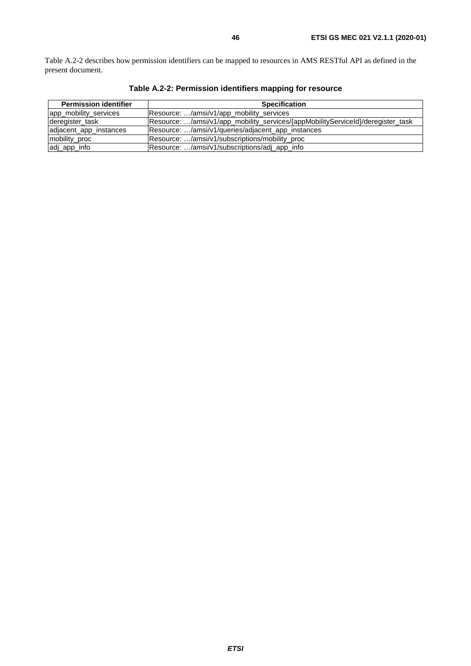Table A.2-2 describes how permission identifiers can be mapped to resources in AMS RESTful API as defined in the present document.

| <b>Permission identifier</b> | <b>Specification</b>                                                            |
|------------------------------|---------------------------------------------------------------------------------|
| app_mobility_services        | Resource: /amsi/v1/app_mobility_services                                        |
| deregister_task              | Resource: /amsi/v1/app_mobility_services/{appMobilityServiceId}/deregister_task |
| adjacent_app_instances       | Resource: /amsi/v1/queries/adjacent_app_instances                               |
| mobility_proc                | Resource: /amsi/v1/subscriptions/mobility_proc                                  |
| adj_app_info                 | Resource: /amsi/v1/subscriptions/adj_app_info                                   |

**Table A.2-2: Permission identifiers mapping for resource**